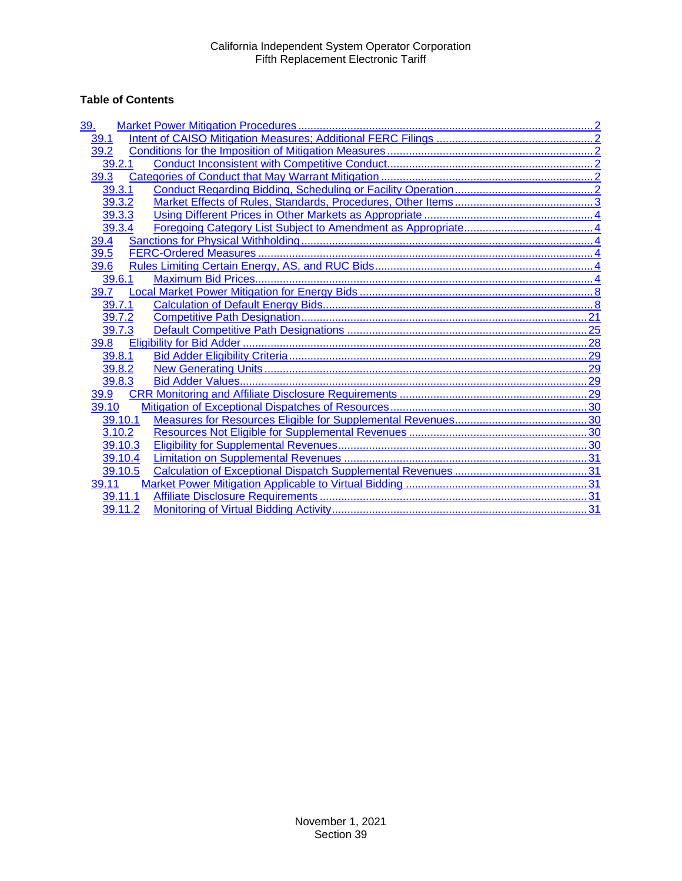# **Table of Contents**

| 39.     |  |
|---------|--|
| 39.1    |  |
| 39.2    |  |
| 39.2.1  |  |
| 39.3    |  |
| 39.3.1  |  |
| 39.3.2  |  |
| 39.3.3  |  |
| 39.3.4  |  |
| 39.4    |  |
| 39.5    |  |
| 39.6    |  |
| 39.6.1  |  |
| 39.7    |  |
| 39.7.1  |  |
| 39.7.2  |  |
| 39.7.3  |  |
| 39.8    |  |
| 39.8.1  |  |
| 39.8.2  |  |
| 39.8.3  |  |
| 39.9    |  |
| 39.10   |  |
| 39.10.1 |  |
| 3.10.2  |  |
| 39.10.3 |  |
| 39.10.4 |  |
| 39.10.5 |  |
| 39.11   |  |
| 39.11.1 |  |
| 39.11.2 |  |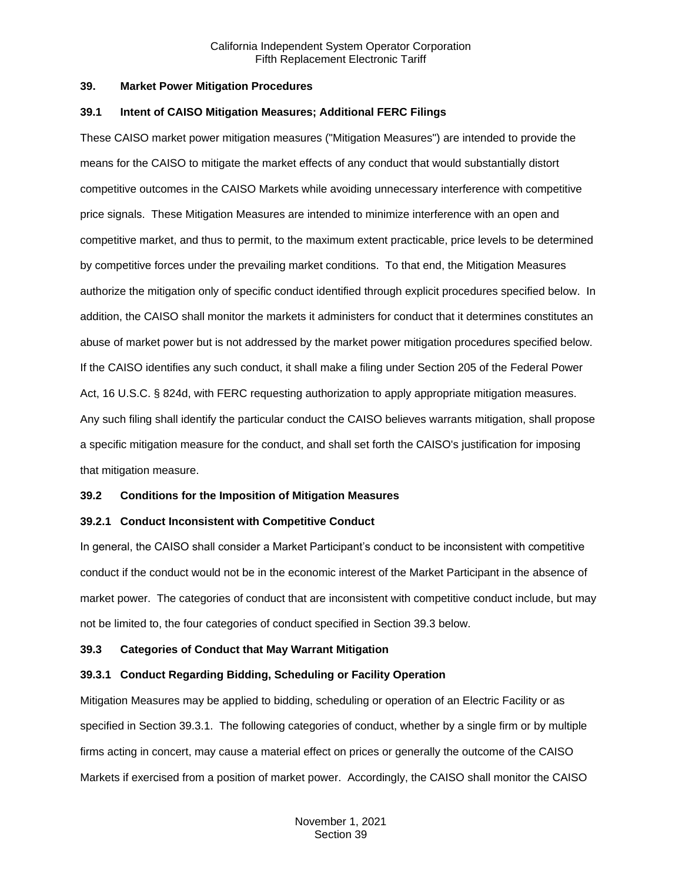#### <span id="page-1-0"></span>**39. Market Power Mitigation Procedures**

#### <span id="page-1-1"></span>**39.1 Intent of CAISO Mitigation Measures; Additional FERC Filings**

These CAISO market power mitigation measures ("Mitigation Measures") are intended to provide the means for the CAISO to mitigate the market effects of any conduct that would substantially distort competitive outcomes in the CAISO Markets while avoiding unnecessary interference with competitive price signals. These Mitigation Measures are intended to minimize interference with an open and competitive market, and thus to permit, to the maximum extent practicable, price levels to be determined by competitive forces under the prevailing market conditions. To that end, the Mitigation Measures authorize the mitigation only of specific conduct identified through explicit procedures specified below. In addition, the CAISO shall monitor the markets it administers for conduct that it determines constitutes an abuse of market power but is not addressed by the market power mitigation procedures specified below. If the CAISO identifies any such conduct, it shall make a filing under Section 205 of the Federal Power Act, 16 U.S.C. § 824d, with FERC requesting authorization to apply appropriate mitigation measures. Any such filing shall identify the particular conduct the CAISO believes warrants mitigation, shall propose a specific mitigation measure for the conduct, and shall set forth the CAISO's justification for imposing that mitigation measure.

## <span id="page-1-2"></span>**39.2 Conditions for the Imposition of Mitigation Measures**

## <span id="page-1-3"></span>**39.2.1 Conduct Inconsistent with Competitive Conduct**

In general, the CAISO shall consider a Market Participant's conduct to be inconsistent with competitive conduct if the conduct would not be in the economic interest of the Market Participant in the absence of market power. The categories of conduct that are inconsistent with competitive conduct include, but may not be limited to, the four categories of conduct specified in Section 39.3 below.

## <span id="page-1-4"></span>**39.3 Categories of Conduct that May Warrant Mitigation**

## <span id="page-1-5"></span>**39.3.1 Conduct Regarding Bidding, Scheduling or Facility Operation**

Mitigation Measures may be applied to bidding, scheduling or operation of an Electric Facility or as specified in Section 39.3.1. The following categories of conduct, whether by a single firm or by multiple firms acting in concert, may cause a material effect on prices or generally the outcome of the CAISO Markets if exercised from a position of market power. Accordingly, the CAISO shall monitor the CAISO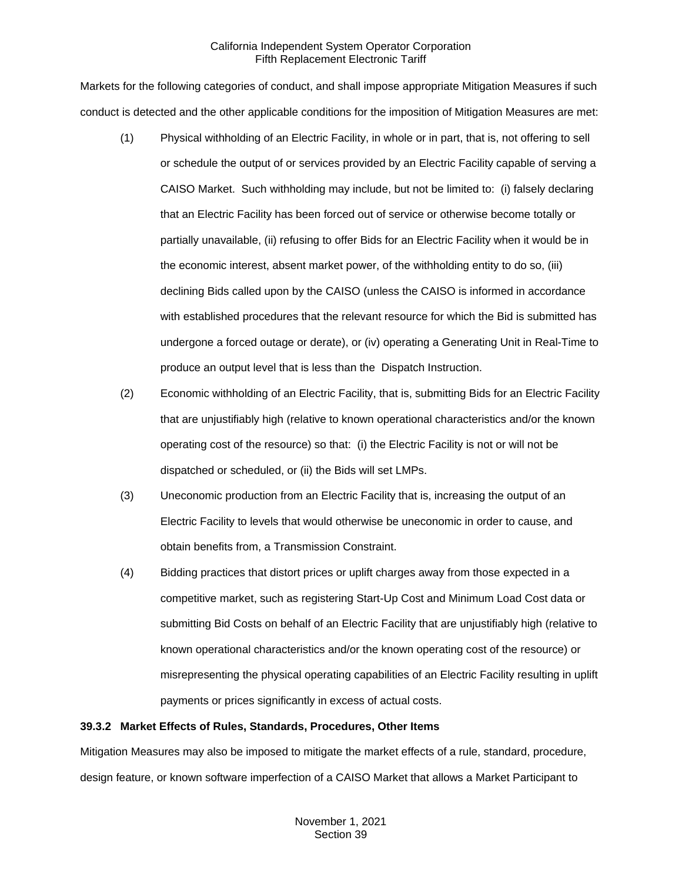Markets for the following categories of conduct, and shall impose appropriate Mitigation Measures if such conduct is detected and the other applicable conditions for the imposition of Mitigation Measures are met:

- (1) Physical withholding of an Electric Facility, in whole or in part, that is, not offering to sell or schedule the output of or services provided by an Electric Facility capable of serving a CAISO Market. Such withholding may include, but not be limited to: (i) falsely declaring that an Electric Facility has been forced out of service or otherwise become totally or partially unavailable, (ii) refusing to offer Bids for an Electric Facility when it would be in the economic interest, absent market power, of the withholding entity to do so, (iii) declining Bids called upon by the CAISO (unless the CAISO is informed in accordance with established procedures that the relevant resource for which the Bid is submitted has undergone a forced outage or derate), or (iv) operating a Generating Unit in Real-Time to produce an output level that is less than the Dispatch Instruction.
- (2) Economic withholding of an Electric Facility, that is, submitting Bids for an Electric Facility that are unjustifiably high (relative to known operational characteristics and/or the known operating cost of the resource) so that: (i) the Electric Facility is not or will not be dispatched or scheduled, or (ii) the Bids will set LMPs.
- (3) Uneconomic production from an Electric Facility that is, increasing the output of an Electric Facility to levels that would otherwise be uneconomic in order to cause, and obtain benefits from, a Transmission Constraint.
- (4) Bidding practices that distort prices or uplift charges away from those expected in a competitive market, such as registering Start-Up Cost and Minimum Load Cost data or submitting Bid Costs on behalf of an Electric Facility that are unjustifiably high (relative to known operational characteristics and/or the known operating cost of the resource) or misrepresenting the physical operating capabilities of an Electric Facility resulting in uplift payments or prices significantly in excess of actual costs.

## <span id="page-2-0"></span>**39.3.2 Market Effects of Rules, Standards, Procedures, Other Items**

Mitigation Measures may also be imposed to mitigate the market effects of a rule, standard, procedure, design feature, or known software imperfection of a CAISO Market that allows a Market Participant to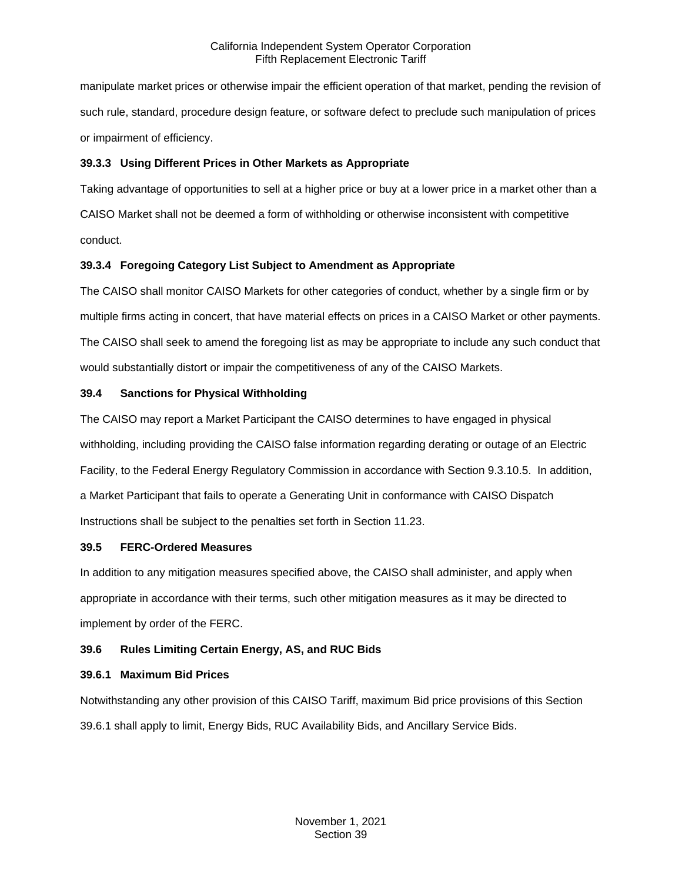manipulate market prices or otherwise impair the efficient operation of that market, pending the revision of such rule, standard, procedure design feature, or software defect to preclude such manipulation of prices or impairment of efficiency.

# <span id="page-3-0"></span>**39.3.3 Using Different Prices in Other Markets as Appropriate**

Taking advantage of opportunities to sell at a higher price or buy at a lower price in a market other than a CAISO Market shall not be deemed a form of withholding or otherwise inconsistent with competitive conduct.

# <span id="page-3-1"></span>**39.3.4 Foregoing Category List Subject to Amendment as Appropriate**

The CAISO shall monitor CAISO Markets for other categories of conduct, whether by a single firm or by multiple firms acting in concert, that have material effects on prices in a CAISO Market or other payments. The CAISO shall seek to amend the foregoing list as may be appropriate to include any such conduct that would substantially distort or impair the competitiveness of any of the CAISO Markets.

# <span id="page-3-2"></span>**39.4 Sanctions for Physical Withholding**

The CAISO may report a Market Participant the CAISO determines to have engaged in physical withholding, including providing the CAISO false information regarding derating or outage of an Electric Facility, to the Federal Energy Regulatory Commission in accordance with Section 9.3.10.5. In addition, a Market Participant that fails to operate a Generating Unit in conformance with CAISO Dispatch Instructions shall be subject to the penalties set forth in Section 11.23.

## <span id="page-3-3"></span>**39.5 FERC-Ordered Measures**

In addition to any mitigation measures specified above, the CAISO shall administer, and apply when appropriate in accordance with their terms, such other mitigation measures as it may be directed to implement by order of the FERC.

# <span id="page-3-4"></span>**39.6 Rules Limiting Certain Energy, AS, and RUC Bids**

## <span id="page-3-5"></span>**39.6.1 Maximum Bid Prices**

Notwithstanding any other provision of this CAISO Tariff, maximum Bid price provisions of this Section 39.6.1 shall apply to limit, Energy Bids, RUC Availability Bids, and Ancillary Service Bids.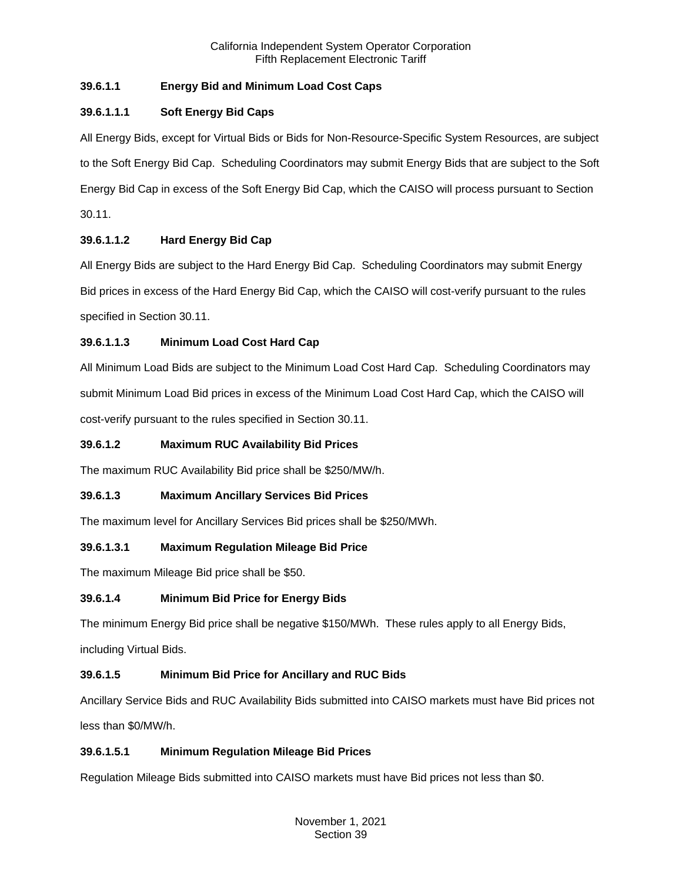# **39.6.1.1 Energy Bid and Minimum Load Cost Caps**

# **39.6.1.1.1 Soft Energy Bid Caps**

All Energy Bids, except for Virtual Bids or Bids for Non-Resource-Specific System Resources, are subject to the Soft Energy Bid Cap. Scheduling Coordinators may submit Energy Bids that are subject to the Soft Energy Bid Cap in excess of the Soft Energy Bid Cap, which the CAISO will process pursuant to Section 30.11.

# **39.6.1.1.2 Hard Energy Bid Cap**

All Energy Bids are subject to the Hard Energy Bid Cap. Scheduling Coordinators may submit Energy Bid prices in excess of the Hard Energy Bid Cap, which the CAISO will cost-verify pursuant to the rules specified in Section 30.11.

# **39.6.1.1.3 Minimum Load Cost Hard Cap**

All Minimum Load Bids are subject to the Minimum Load Cost Hard Cap. Scheduling Coordinators may submit Minimum Load Bid prices in excess of the Minimum Load Cost Hard Cap, which the CAISO will cost-verify pursuant to the rules specified in Section 30.11.

# **39.6.1.2 Maximum RUC Availability Bid Prices**

The maximum RUC Availability Bid price shall be \$250/MW/h.

# **39.6.1.3 Maximum Ancillary Services Bid Prices**

The maximum level for Ancillary Services Bid prices shall be \$250/MWh.

# **39.6.1.3.1 Maximum Regulation Mileage Bid Price**

The maximum Mileage Bid price shall be \$50.

# **39.6.1.4 Minimum Bid Price for Energy Bids**

The minimum Energy Bid price shall be negative \$150/MWh. These rules apply to all Energy Bids,

including Virtual Bids.

# **39.6.1.5 Minimum Bid Price for Ancillary and RUC Bids**

Ancillary Service Bids and RUC Availability Bids submitted into CAISO markets must have Bid prices not less than \$0/MW/h.

# **39.6.1.5.1 Minimum Regulation Mileage Bid Prices**

Regulation Mileage Bids submitted into CAISO markets must have Bid prices not less than \$0.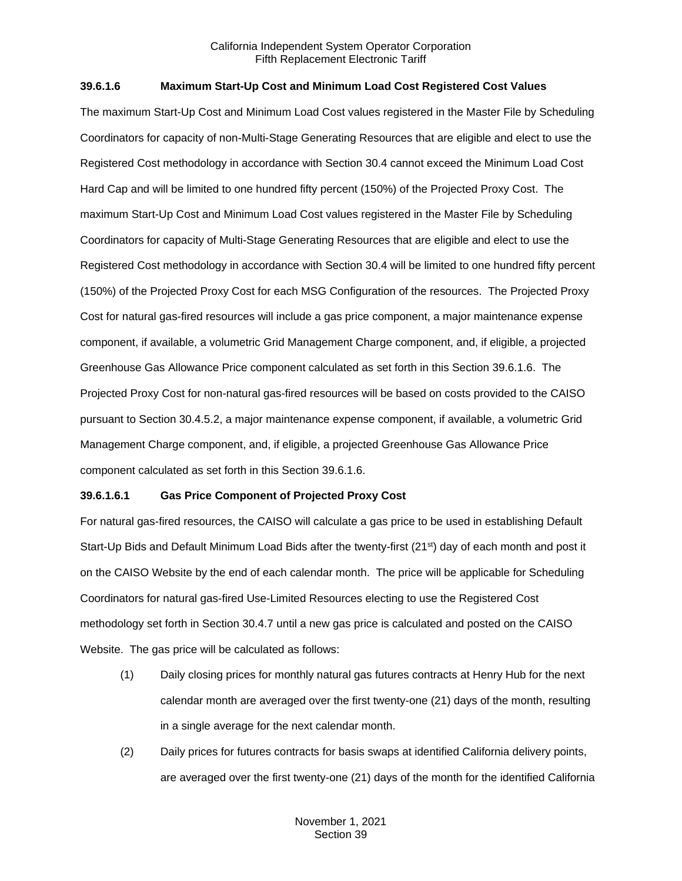## **39.6.1.6 Maximum Start-Up Cost and Minimum Load Cost Registered Cost Values**

The maximum Start-Up Cost and Minimum Load Cost values registered in the Master File by Scheduling Coordinators for capacity of non-Multi-Stage Generating Resources that are eligible and elect to use the Registered Cost methodology in accordance with Section 30.4 cannot exceed the Minimum Load Cost Hard Cap and will be limited to one hundred fifty percent (150%) of the Projected Proxy Cost. The maximum Start-Up Cost and Minimum Load Cost values registered in the Master File by Scheduling Coordinators for capacity of Multi-Stage Generating Resources that are eligible and elect to use the Registered Cost methodology in accordance with Section 30.4 will be limited to one hundred fifty percent (150%) of the Projected Proxy Cost for each MSG Configuration of the resources. The Projected Proxy Cost for natural gas-fired resources will include a gas price component, a major maintenance expense component, if available, a volumetric Grid Management Charge component, and, if eligible, a projected Greenhouse Gas Allowance Price component calculated as set forth in this Section 39.6.1.6. The Projected Proxy Cost for non-natural gas-fired resources will be based on costs provided to the CAISO pursuant to Section 30.4.5.2, a major maintenance expense component, if available, a volumetric Grid Management Charge component, and, if eligible, a projected Greenhouse Gas Allowance Price component calculated as set forth in this Section 39.6.1.6.

#### **39.6.1.6.1 Gas Price Component of Projected Proxy Cost**

For natural gas-fired resources, the CAISO will calculate a gas price to be used in establishing Default Start-Up Bids and Default Minimum Load Bids after the twenty-first (21<sup>st</sup>) day of each month and post it on the CAISO Website by the end of each calendar month. The price will be applicable for Scheduling Coordinators for natural gas-fired Use-Limited Resources electing to use the Registered Cost methodology set forth in Section 30.4.7 until a new gas price is calculated and posted on the CAISO Website. The gas price will be calculated as follows:

- (1) Daily closing prices for monthly natural gas futures contracts at Henry Hub for the next calendar month are averaged over the first twenty-one (21) days of the month, resulting in a single average for the next calendar month.
- (2) Daily prices for futures contracts for basis swaps at identified California delivery points, are averaged over the first twenty-one (21) days of the month for the identified California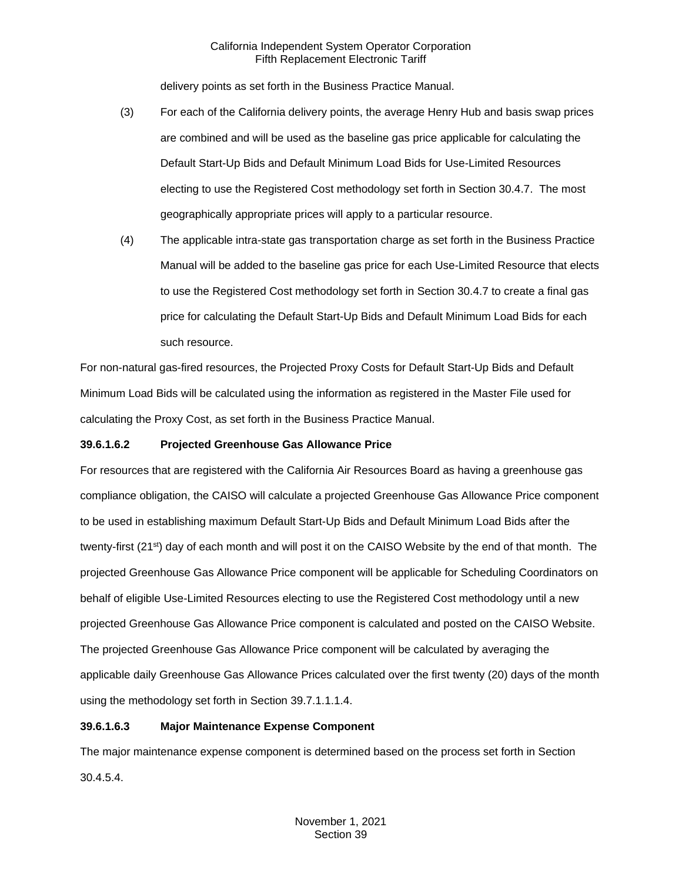delivery points as set forth in the Business Practice Manual.

- (3) For each of the California delivery points, the average Henry Hub and basis swap prices are combined and will be used as the baseline gas price applicable for calculating the Default Start-Up Bids and Default Minimum Load Bids for Use-Limited Resources electing to use the Registered Cost methodology set forth in Section 30.4.7. The most geographically appropriate prices will apply to a particular resource.
- (4) The applicable intra-state gas transportation charge as set forth in the Business Practice Manual will be added to the baseline gas price for each Use-Limited Resource that elects to use the Registered Cost methodology set forth in Section 30.4.7 to create a final gas price for calculating the Default Start-Up Bids and Default Minimum Load Bids for each such resource.

For non-natural gas-fired resources, the Projected Proxy Costs for Default Start-Up Bids and Default Minimum Load Bids will be calculated using the information as registered in the Master File used for calculating the Proxy Cost, as set forth in the Business Practice Manual.

## **39.6.1.6.2 Projected Greenhouse Gas Allowance Price**

For resources that are registered with the California Air Resources Board as having a greenhouse gas compliance obligation, the CAISO will calculate a projected Greenhouse Gas Allowance Price component to be used in establishing maximum Default Start-Up Bids and Default Minimum Load Bids after the twenty-first (21<sup>st</sup>) day of each month and will post it on the CAISO Website by the end of that month. The projected Greenhouse Gas Allowance Price component will be applicable for Scheduling Coordinators on behalf of eligible Use-Limited Resources electing to use the Registered Cost methodology until a new projected Greenhouse Gas Allowance Price component is calculated and posted on the CAISO Website. The projected Greenhouse Gas Allowance Price component will be calculated by averaging the applicable daily Greenhouse Gas Allowance Prices calculated over the first twenty (20) days of the month using the methodology set forth in Section 39.7.1.1.1.4.

# **39.6.1.6.3 Major Maintenance Expense Component**

The major maintenance expense component is determined based on the process set forth in Section 30.4.5.4.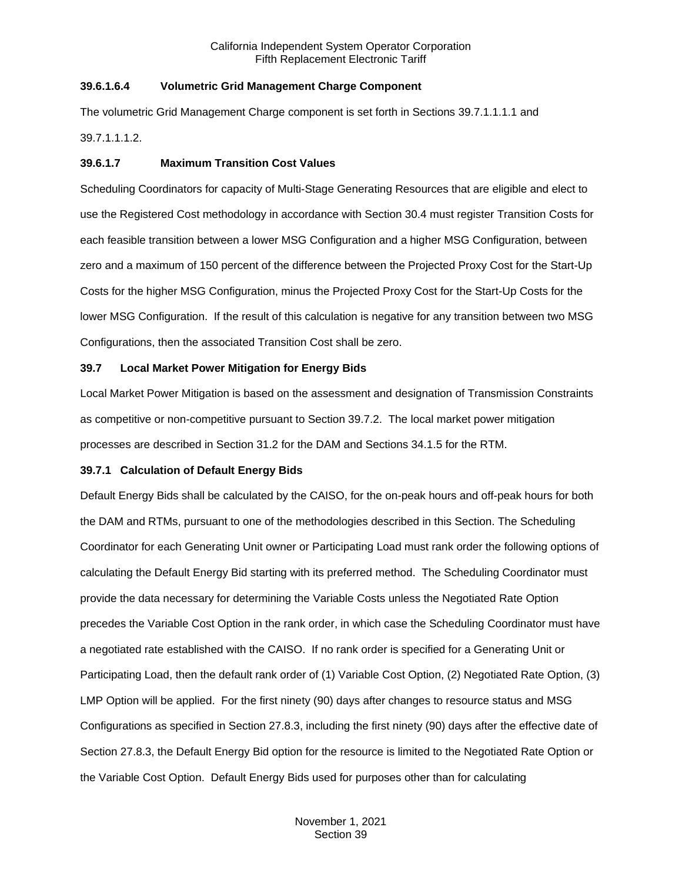## **39.6.1.6.4 Volumetric Grid Management Charge Component**

The volumetric Grid Management Charge component is set forth in Sections 39.7.1.1.1.1 and

39.7.1.1.1.2.

# **39.6.1.7 Maximum Transition Cost Values**

Scheduling Coordinators for capacity of Multi-Stage Generating Resources that are eligible and elect to use the Registered Cost methodology in accordance with Section 30.4 must register Transition Costs for each feasible transition between a lower MSG Configuration and a higher MSG Configuration, between zero and a maximum of 150 percent of the difference between the Projected Proxy Cost for the Start-Up Costs for the higher MSG Configuration, minus the Projected Proxy Cost for the Start-Up Costs for the lower MSG Configuration. If the result of this calculation is negative for any transition between two MSG Configurations, then the associated Transition Cost shall be zero.

# <span id="page-7-0"></span>**39.7 Local Market Power Mitigation for Energy Bids**

Local Market Power Mitigation is based on the assessment and designation of Transmission Constraints as competitive or non-competitive pursuant to Section 39.7.2. The local market power mitigation processes are described in Section 31.2 for the DAM and Sections 34.1.5 for the RTM.

# <span id="page-7-1"></span>**39.7.1 Calculation of Default Energy Bids**

Default Energy Bids shall be calculated by the CAISO, for the on-peak hours and off-peak hours for both the DAM and RTMs, pursuant to one of the methodologies described in this Section. The Scheduling Coordinator for each Generating Unit owner or Participating Load must rank order the following options of calculating the Default Energy Bid starting with its preferred method. The Scheduling Coordinator must provide the data necessary for determining the Variable Costs unless the Negotiated Rate Option precedes the Variable Cost Option in the rank order, in which case the Scheduling Coordinator must have a negotiated rate established with the CAISO. If no rank order is specified for a Generating Unit or Participating Load, then the default rank order of (1) Variable Cost Option, (2) Negotiated Rate Option, (3) LMP Option will be applied. For the first ninety (90) days after changes to resource status and MSG Configurations as specified in Section 27.8.3, including the first ninety (90) days after the effective date of Section 27.8.3, the Default Energy Bid option for the resource is limited to the Negotiated Rate Option or the Variable Cost Option. Default Energy Bids used for purposes other than for calculating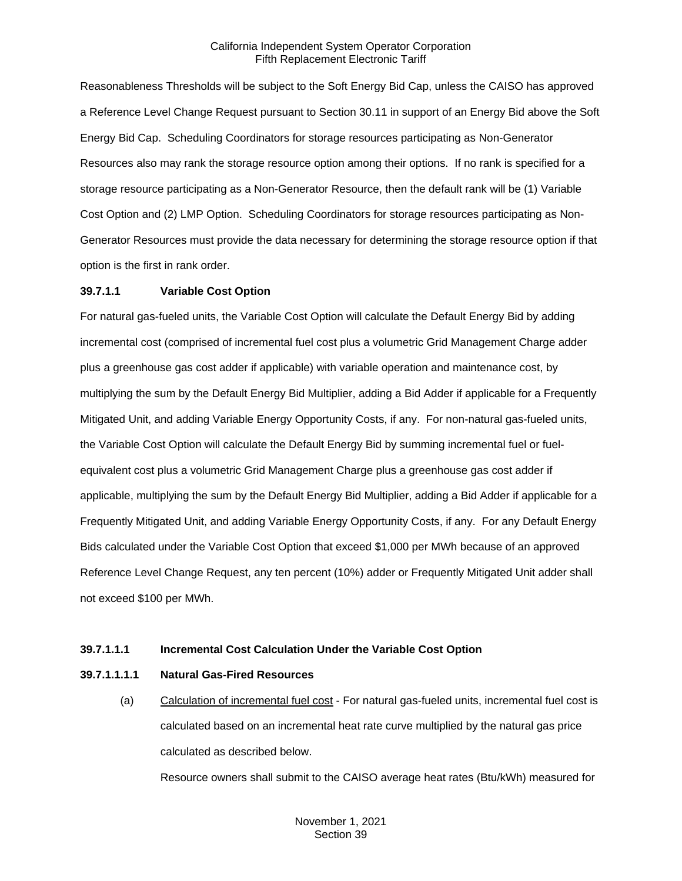Reasonableness Thresholds will be subject to the Soft Energy Bid Cap, unless the CAISO has approved a Reference Level Change Request pursuant to Section 30.11 in support of an Energy Bid above the Soft Energy Bid Cap. Scheduling Coordinators for storage resources participating as Non-Generator Resources also may rank the storage resource option among their options. If no rank is specified for a storage resource participating as a Non-Generator Resource, then the default rank will be (1) Variable Cost Option and (2) LMP Option. Scheduling Coordinators for storage resources participating as Non-Generator Resources must provide the data necessary for determining the storage resource option if that option is the first in rank order.

#### **39.7.1.1 Variable Cost Option**

For natural gas-fueled units, the Variable Cost Option will calculate the Default Energy Bid by adding incremental cost (comprised of incremental fuel cost plus a volumetric Grid Management Charge adder plus a greenhouse gas cost adder if applicable) with variable operation and maintenance cost, by multiplying the sum by the Default Energy Bid Multiplier, adding a Bid Adder if applicable for a Frequently Mitigated Unit, and adding Variable Energy Opportunity Costs, if any. For non-natural gas-fueled units, the Variable Cost Option will calculate the Default Energy Bid by summing incremental fuel or fuelequivalent cost plus a volumetric Grid Management Charge plus a greenhouse gas cost adder if applicable, multiplying the sum by the Default Energy Bid Multiplier, adding a Bid Adder if applicable for a Frequently Mitigated Unit, and adding Variable Energy Opportunity Costs, if any. For any Default Energy Bids calculated under the Variable Cost Option that exceed \$1,000 per MWh because of an approved Reference Level Change Request, any ten percent (10%) adder or Frequently Mitigated Unit adder shall not exceed \$100 per MWh.

#### **39.7.1.1.1 Incremental Cost Calculation Under the Variable Cost Option**

#### **39.7.1.1.1.1 Natural Gas-Fired Resources**

(a) Calculation of incremental fuel cost - For natural gas-fueled units, incremental fuel cost is calculated based on an incremental heat rate curve multiplied by the natural gas price calculated as described below.

Resource owners shall submit to the CAISO average heat rates (Btu/kWh) measured for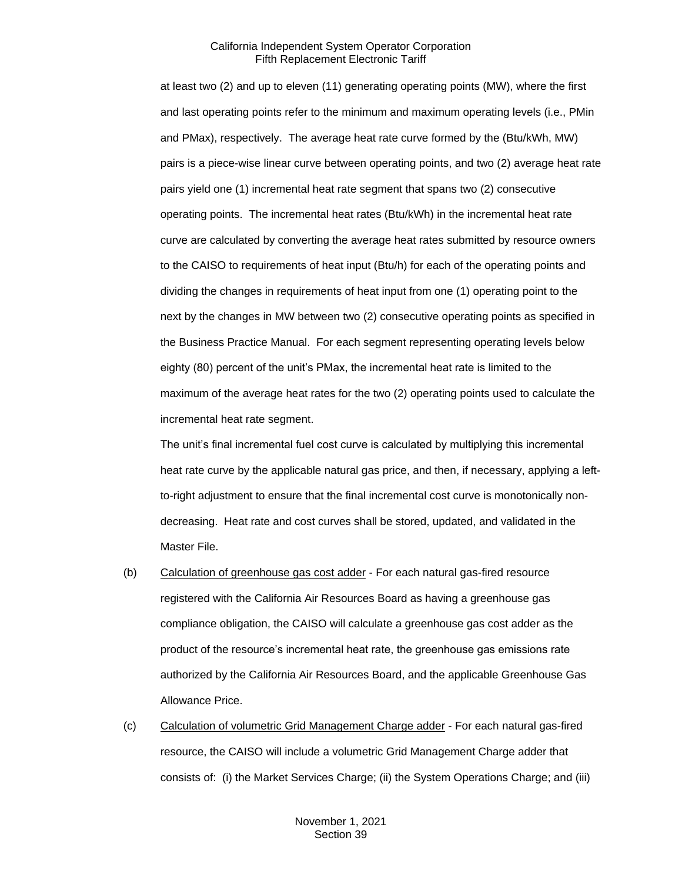at least two (2) and up to eleven (11) generating operating points (MW), where the first and last operating points refer to the minimum and maximum operating levels (i.e., PMin and PMax), respectively. The average heat rate curve formed by the (Btu/kWh, MW) pairs is a piece-wise linear curve between operating points, and two (2) average heat rate pairs yield one (1) incremental heat rate segment that spans two (2) consecutive operating points. The incremental heat rates (Btu/kWh) in the incremental heat rate curve are calculated by converting the average heat rates submitted by resource owners to the CAISO to requirements of heat input (Btu/h) for each of the operating points and dividing the changes in requirements of heat input from one (1) operating point to the next by the changes in MW between two (2) consecutive operating points as specified in the Business Practice Manual. For each segment representing operating levels below eighty (80) percent of the unit's PMax, the incremental heat rate is limited to the maximum of the average heat rates for the two (2) operating points used to calculate the incremental heat rate segment.

The unit's final incremental fuel cost curve is calculated by multiplying this incremental heat rate curve by the applicable natural gas price, and then, if necessary, applying a leftto-right adjustment to ensure that the final incremental cost curve is monotonically nondecreasing. Heat rate and cost curves shall be stored, updated, and validated in the Master File.

- (b) Calculation of greenhouse gas cost adder For each natural gas-fired resource registered with the California Air Resources Board as having a greenhouse gas compliance obligation, the CAISO will calculate a greenhouse gas cost adder as the product of the resource's incremental heat rate, the greenhouse gas emissions rate authorized by the California Air Resources Board, and the applicable Greenhouse Gas Allowance Price.
- (c) Calculation of volumetric Grid Management Charge adder For each natural gas-fired resource, the CAISO will include a volumetric Grid Management Charge adder that consists of: (i) the Market Services Charge; (ii) the System Operations Charge; and (iii)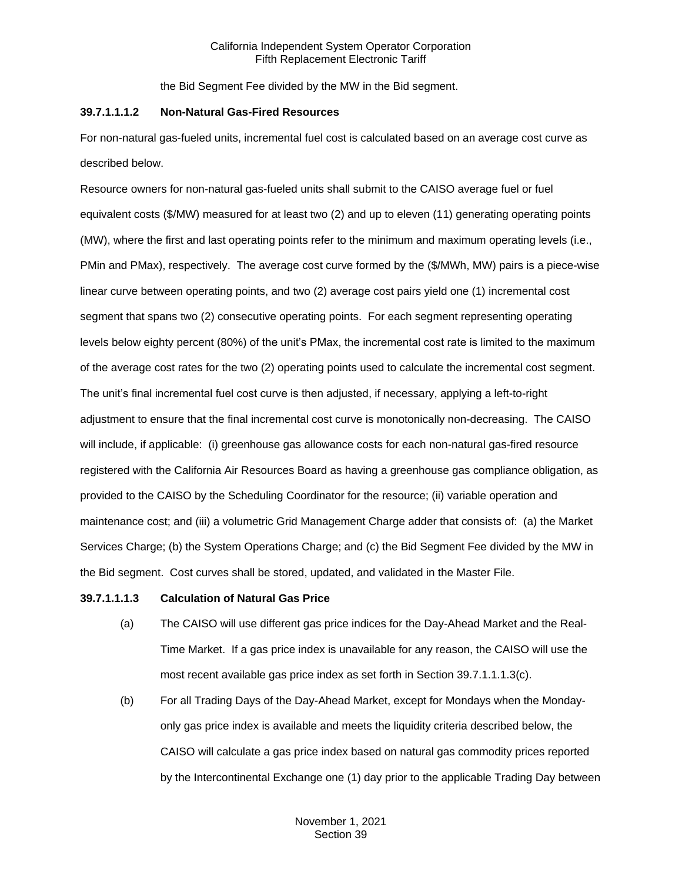the Bid Segment Fee divided by the MW in the Bid segment.

### **39.7.1.1.1.2 Non-Natural Gas-Fired Resources**

For non-natural gas-fueled units, incremental fuel cost is calculated based on an average cost curve as described below.

Resource owners for non-natural gas-fueled units shall submit to the CAISO average fuel or fuel equivalent costs (\$/MW) measured for at least two (2) and up to eleven (11) generating operating points (MW), where the first and last operating points refer to the minimum and maximum operating levels (i.e., PMin and PMax), respectively. The average cost curve formed by the (\$/MWh, MW) pairs is a piece-wise linear curve between operating points, and two (2) average cost pairs yield one (1) incremental cost segment that spans two (2) consecutive operating points. For each segment representing operating levels below eighty percent (80%) of the unit's PMax, the incremental cost rate is limited to the maximum of the average cost rates for the two (2) operating points used to calculate the incremental cost segment. The unit's final incremental fuel cost curve is then adjusted, if necessary, applying a left-to-right adjustment to ensure that the final incremental cost curve is monotonically non-decreasing. The CAISO will include, if applicable: (i) greenhouse gas allowance costs for each non-natural gas-fired resource registered with the California Air Resources Board as having a greenhouse gas compliance obligation, as provided to the CAISO by the Scheduling Coordinator for the resource; (ii) variable operation and maintenance cost; and (iii) a volumetric Grid Management Charge adder that consists of: (a) the Market Services Charge; (b) the System Operations Charge; and (c) the Bid Segment Fee divided by the MW in the Bid segment. Cost curves shall be stored, updated, and validated in the Master File.

## **39.7.1.1.1.3 Calculation of Natural Gas Price**

- (a) The CAISO will use different gas price indices for the Day-Ahead Market and the Real-Time Market. If a gas price index is unavailable for any reason, the CAISO will use the most recent available gas price index as set forth in Section 39.7.1.1.1.3(c).
- (b) For all Trading Days of the Day-Ahead Market, except for Mondays when the Mondayonly gas price index is available and meets the liquidity criteria described below, the CAISO will calculate a gas price index based on natural gas commodity prices reported by the Intercontinental Exchange one (1) day prior to the applicable Trading Day between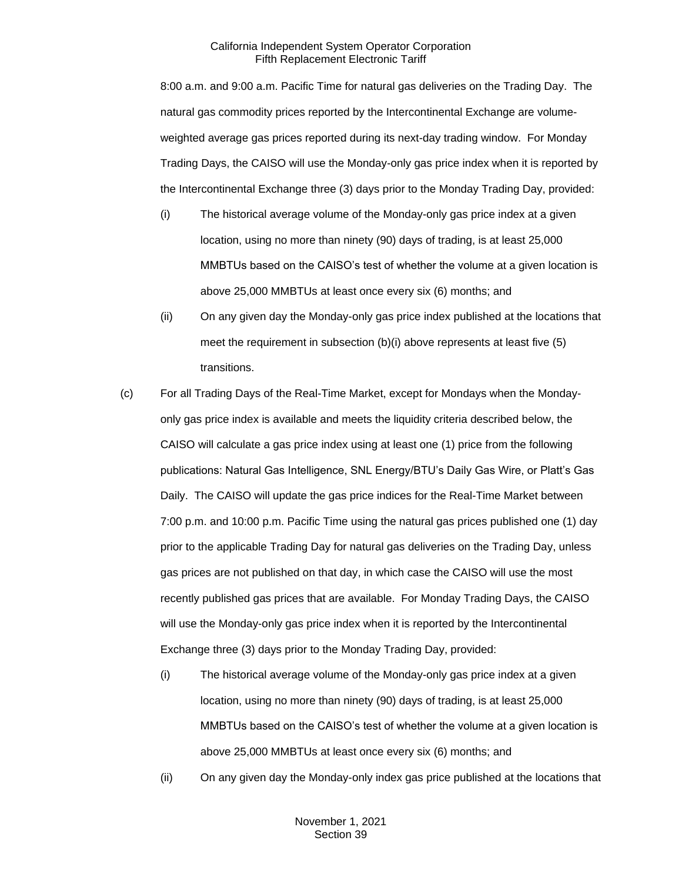8:00 a.m. and 9:00 a.m. Pacific Time for natural gas deliveries on the Trading Day. The natural gas commodity prices reported by the Intercontinental Exchange are volumeweighted average gas prices reported during its next-day trading window. For Monday Trading Days, the CAISO will use the Monday-only gas price index when it is reported by the Intercontinental Exchange three (3) days prior to the Monday Trading Day, provided:

- (i) The historical average volume of the Monday-only gas price index at a given location, using no more than ninety (90) days of trading, is at least 25,000 MMBTUs based on the CAISO's test of whether the volume at a given location is above 25,000 MMBTUs at least once every six (6) months; and
- (ii) On any given day the Monday-only gas price index published at the locations that meet the requirement in subsection (b)(i) above represents at least five (5) transitions.
- (c) For all Trading Days of the Real-Time Market, except for Mondays when the Mondayonly gas price index is available and meets the liquidity criteria described below, the CAISO will calculate a gas price index using at least one (1) price from the following publications: Natural Gas Intelligence, SNL Energy/BTU's Daily Gas Wire, or Platt's Gas Daily. The CAISO will update the gas price indices for the Real-Time Market between 7:00 p.m. and 10:00 p.m. Pacific Time using the natural gas prices published one (1) day prior to the applicable Trading Day for natural gas deliveries on the Trading Day, unless gas prices are not published on that day, in which case the CAISO will use the most recently published gas prices that are available. For Monday Trading Days, the CAISO will use the Monday-only gas price index when it is reported by the Intercontinental Exchange three (3) days prior to the Monday Trading Day, provided:
	- (i) The historical average volume of the Monday-only gas price index at a given location, using no more than ninety (90) days of trading, is at least 25,000 MMBTUs based on the CAISO's test of whether the volume at a given location is above 25,000 MMBTUs at least once every six (6) months; and
	- (ii) On any given day the Monday-only index gas price published at the locations that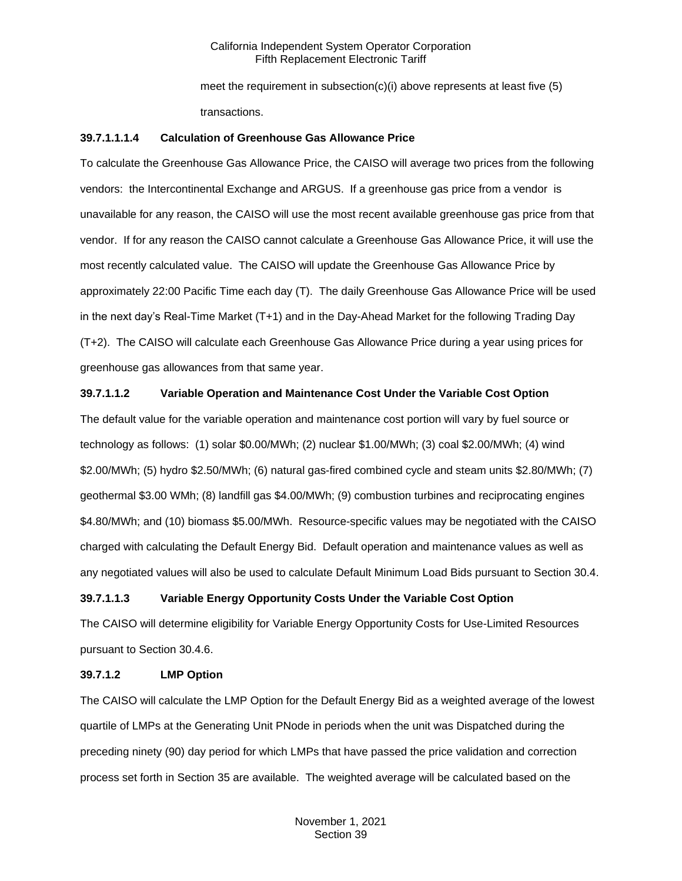meet the requirement in subsection(c)(i) above represents at least five  $(5)$ transactions.

## **39.7.1.1.1.4 Calculation of Greenhouse Gas Allowance Price**

To calculate the Greenhouse Gas Allowance Price, the CAISO will average two prices from the following vendors: the Intercontinental Exchange and ARGUS. If a greenhouse gas price from a vendor is unavailable for any reason, the CAISO will use the most recent available greenhouse gas price from that vendor. If for any reason the CAISO cannot calculate a Greenhouse Gas Allowance Price, it will use the most recently calculated value. The CAISO will update the Greenhouse Gas Allowance Price by approximately 22:00 Pacific Time each day (T). The daily Greenhouse Gas Allowance Price will be used in the next day's Real-Time Market (T+1) and in the Day-Ahead Market for the following Trading Day (T+2). The CAISO will calculate each Greenhouse Gas Allowance Price during a year using prices for greenhouse gas allowances from that same year.

### **39.7.1.1.2 Variable Operation and Maintenance Cost Under the Variable Cost Option**

The default value for the variable operation and maintenance cost portion will vary by fuel source or technology as follows: (1) solar \$0.00/MWh; (2) nuclear \$1.00/MWh; (3) coal \$2.00/MWh; (4) wind \$2.00/MWh; (5) hydro \$2.50/MWh; (6) natural gas-fired combined cycle and steam units \$2.80/MWh; (7) geothermal \$3.00 WMh; (8) landfill gas \$4.00/MWh; (9) combustion turbines and reciprocating engines \$4.80/MWh; and (10) biomass \$5.00/MWh. Resource-specific values may be negotiated with the CAISO charged with calculating the Default Energy Bid. Default operation and maintenance values as well as any negotiated values will also be used to calculate Default Minimum Load Bids pursuant to Section 30.4.

#### **39.7.1.1.3 Variable Energy Opportunity Costs Under the Variable Cost Option**

The CAISO will determine eligibility for Variable Energy Opportunity Costs for Use-Limited Resources pursuant to Section 30.4.6.

#### **39.7.1.2 LMP Option**

The CAISO will calculate the LMP Option for the Default Energy Bid as a weighted average of the lowest quartile of LMPs at the Generating Unit PNode in periods when the unit was Dispatched during the preceding ninety (90) day period for which LMPs that have passed the price validation and correction process set forth in Section 35 are available. The weighted average will be calculated based on the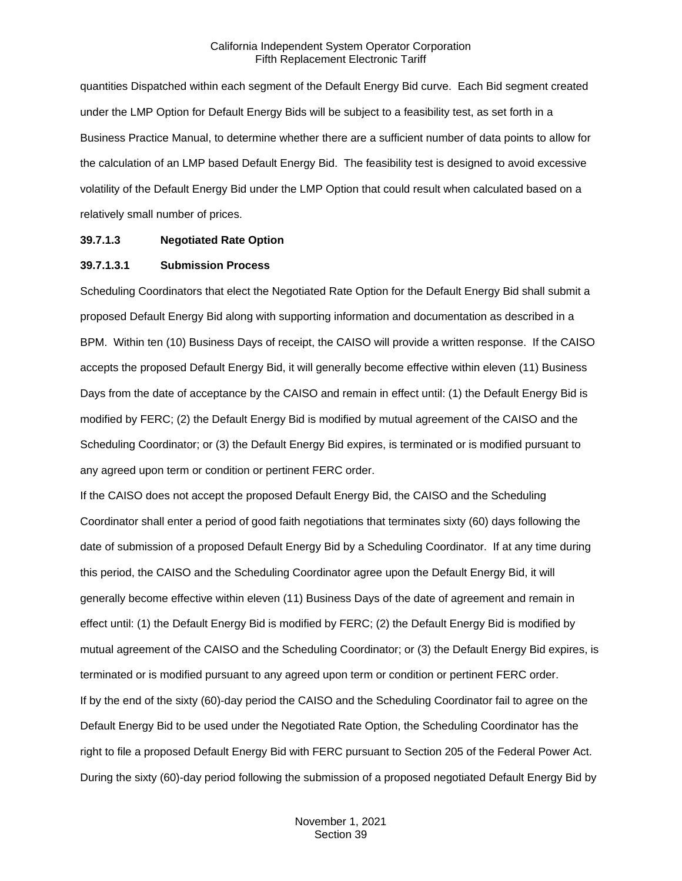quantities Dispatched within each segment of the Default Energy Bid curve. Each Bid segment created under the LMP Option for Default Energy Bids will be subject to a feasibility test, as set forth in a Business Practice Manual, to determine whether there are a sufficient number of data points to allow for the calculation of an LMP based Default Energy Bid. The feasibility test is designed to avoid excessive volatility of the Default Energy Bid under the LMP Option that could result when calculated based on a relatively small number of prices.

#### **39.7.1.3 Negotiated Rate Option**

#### **39.7.1.3.1 Submission Process**

Scheduling Coordinators that elect the Negotiated Rate Option for the Default Energy Bid shall submit a proposed Default Energy Bid along with supporting information and documentation as described in a BPM. Within ten (10) Business Days of receipt, the CAISO will provide a written response. If the CAISO accepts the proposed Default Energy Bid, it will generally become effective within eleven (11) Business Days from the date of acceptance by the CAISO and remain in effect until: (1) the Default Energy Bid is modified by FERC; (2) the Default Energy Bid is modified by mutual agreement of the CAISO and the Scheduling Coordinator; or (3) the Default Energy Bid expires, is terminated or is modified pursuant to any agreed upon term or condition or pertinent FERC order.

If the CAISO does not accept the proposed Default Energy Bid, the CAISO and the Scheduling Coordinator shall enter a period of good faith negotiations that terminates sixty (60) days following the date of submission of a proposed Default Energy Bid by a Scheduling Coordinator. If at any time during this period, the CAISO and the Scheduling Coordinator agree upon the Default Energy Bid, it will generally become effective within eleven (11) Business Days of the date of agreement and remain in effect until: (1) the Default Energy Bid is modified by FERC; (2) the Default Energy Bid is modified by mutual agreement of the CAISO and the Scheduling Coordinator; or (3) the Default Energy Bid expires, is terminated or is modified pursuant to any agreed upon term or condition or pertinent FERC order. If by the end of the sixty (60)-day period the CAISO and the Scheduling Coordinator fail to agree on the Default Energy Bid to be used under the Negotiated Rate Option, the Scheduling Coordinator has the right to file a proposed Default Energy Bid with FERC pursuant to Section 205 of the Federal Power Act. During the sixty (60)-day period following the submission of a proposed negotiated Default Energy Bid by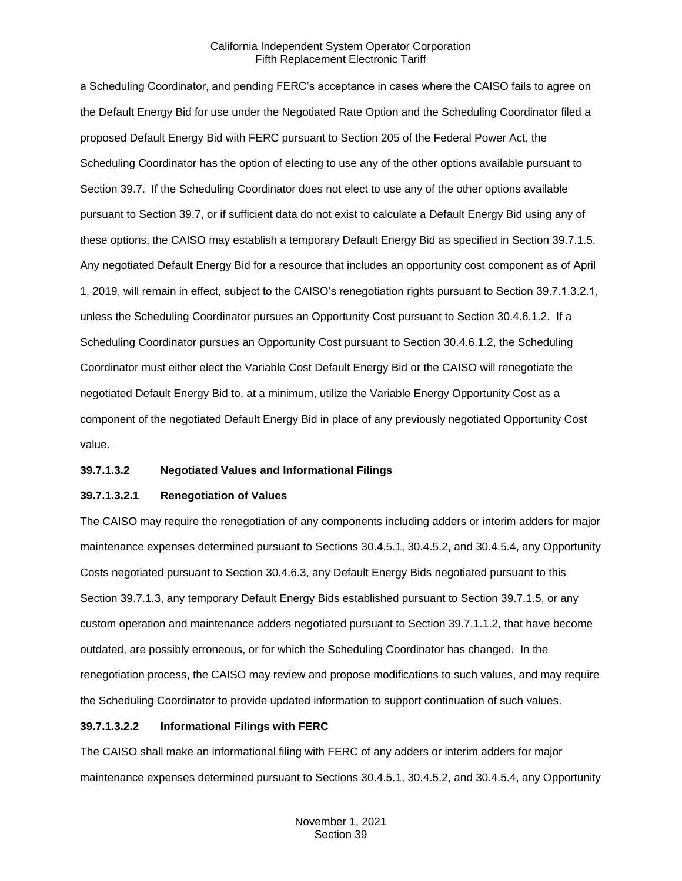a Scheduling Coordinator, and pending FERC's acceptance in cases where the CAISO fails to agree on the Default Energy Bid for use under the Negotiated Rate Option and the Scheduling Coordinator filed a proposed Default Energy Bid with FERC pursuant to Section 205 of the Federal Power Act, the Scheduling Coordinator has the option of electing to use any of the other options available pursuant to Section 39.7. If the Scheduling Coordinator does not elect to use any of the other options available pursuant to Section 39.7, or if sufficient data do not exist to calculate a Default Energy Bid using any of these options, the CAISO may establish a temporary Default Energy Bid as specified in Section 39.7.1.5. Any negotiated Default Energy Bid for a resource that includes an opportunity cost component as of April 1, 2019, will remain in effect, subject to the CAISO's renegotiation rights pursuant to Section 39.7.1.3.2.1, unless the Scheduling Coordinator pursues an Opportunity Cost pursuant to Section 30.4.6.1.2. If a Scheduling Coordinator pursues an Opportunity Cost pursuant to Section 30.4.6.1.2, the Scheduling Coordinator must either elect the Variable Cost Default Energy Bid or the CAISO will renegotiate the negotiated Default Energy Bid to, at a minimum, utilize the Variable Energy Opportunity Cost as a component of the negotiated Default Energy Bid in place of any previously negotiated Opportunity Cost value.

#### **39.7.1.3.2 Negotiated Values and Informational Filings**

#### **39.7.1.3.2.1 Renegotiation of Values**

The CAISO may require the renegotiation of any components including adders or interim adders for major maintenance expenses determined pursuant to Sections 30.4.5.1, 30.4.5.2, and 30.4.5.4, any Opportunity Costs negotiated pursuant to Section 30.4.6.3, any Default Energy Bids negotiated pursuant to this Section 39.7.1.3, any temporary Default Energy Bids established pursuant to Section 39.7.1.5, or any custom operation and maintenance adders negotiated pursuant to Section 39.7.1.1.2, that have become outdated, are possibly erroneous, or for which the Scheduling Coordinator has changed. In the renegotiation process, the CAISO may review and propose modifications to such values, and may require the Scheduling Coordinator to provide updated information to support continuation of such values.

## **39.7.1.3.2.2 Informational Filings with FERC**

The CAISO shall make an informational filing with FERC of any adders or interim adders for major maintenance expenses determined pursuant to Sections 30.4.5.1, 30.4.5.2, and 30.4.5.4, any Opportunity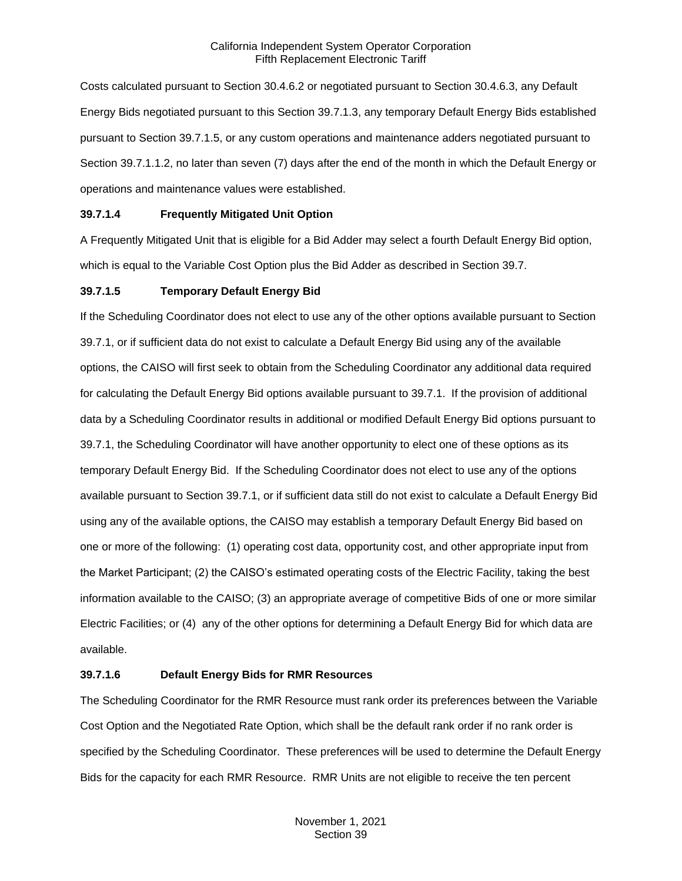Costs calculated pursuant to Section 30.4.6.2 or negotiated pursuant to Section 30.4.6.3, any Default Energy Bids negotiated pursuant to this Section 39.7.1.3, any temporary Default Energy Bids established pursuant to Section 39.7.1.5, or any custom operations and maintenance adders negotiated pursuant to Section 39.7.1.1.2, no later than seven (7) days after the end of the month in which the Default Energy or operations and maintenance values were established.

# **39.7.1.4 Frequently Mitigated Unit Option**

A Frequently Mitigated Unit that is eligible for a Bid Adder may select a fourth Default Energy Bid option, which is equal to the Variable Cost Option plus the Bid Adder as described in Section 39.7.

# **39.7.1.5 Temporary Default Energy Bid**

If the Scheduling Coordinator does not elect to use any of the other options available pursuant to Section 39.7.1, or if sufficient data do not exist to calculate a Default Energy Bid using any of the available options, the CAISO will first seek to obtain from the Scheduling Coordinator any additional data required for calculating the Default Energy Bid options available pursuant to 39.7.1. If the provision of additional data by a Scheduling Coordinator results in additional or modified Default Energy Bid options pursuant to 39.7.1, the Scheduling Coordinator will have another opportunity to elect one of these options as its temporary Default Energy Bid. If the Scheduling Coordinator does not elect to use any of the options available pursuant to Section 39.7.1, or if sufficient data still do not exist to calculate a Default Energy Bid using any of the available options, the CAISO may establish a temporary Default Energy Bid based on one or more of the following: (1) operating cost data, opportunity cost, and other appropriate input from the Market Participant; (2) the CAISO's estimated operating costs of the Electric Facility, taking the best information available to the CAISO; (3) an appropriate average of competitive Bids of one or more similar Electric Facilities; or (4) any of the other options for determining a Default Energy Bid for which data are available.

## **39.7.1.6 Default Energy Bids for RMR Resources**

The Scheduling Coordinator for the RMR Resource must rank order its preferences between the Variable Cost Option and the Negotiated Rate Option, which shall be the default rank order if no rank order is specified by the Scheduling Coordinator. These preferences will be used to determine the Default Energy Bids for the capacity for each RMR Resource. RMR Units are not eligible to receive the ten percent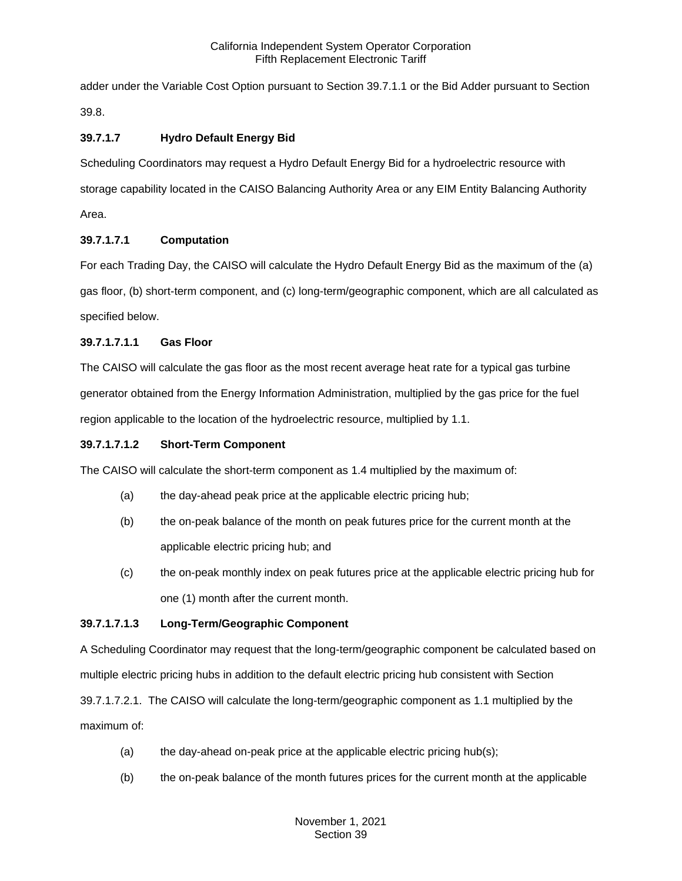adder under the Variable Cost Option pursuant to Section 39.7.1.1 or the Bid Adder pursuant to Section 39.8.

# **39.7.1.7 Hydro Default Energy Bid**

Scheduling Coordinators may request a Hydro Default Energy Bid for a hydroelectric resource with storage capability located in the CAISO Balancing Authority Area or any EIM Entity Balancing Authority Area.

# **39.7.1.7.1 Computation**

For each Trading Day, the CAISO will calculate the Hydro Default Energy Bid as the maximum of the (a) gas floor, (b) short-term component, and (c) long-term/geographic component, which are all calculated as specified below.

# **39.7.1.7.1.1 Gas Floor**

The CAISO will calculate the gas floor as the most recent average heat rate for a typical gas turbine generator obtained from the Energy Information Administration, multiplied by the gas price for the fuel region applicable to the location of the hydroelectric resource, multiplied by 1.1.

# **39.7.1.7.1.2 Short-Term Component**

The CAISO will calculate the short-term component as 1.4 multiplied by the maximum of:

- (a) the day-ahead peak price at the applicable electric pricing hub;
- (b) the on-peak balance of the month on peak futures price for the current month at the applicable electric pricing hub; and
- (c) the on-peak monthly index on peak futures price at the applicable electric pricing hub for one (1) month after the current month.

# **39.7.1.7.1.3 Long-Term/Geographic Component**

A Scheduling Coordinator may request that the long-term/geographic component be calculated based on multiple electric pricing hubs in addition to the default electric pricing hub consistent with Section

39.7.1.7.2.1. The CAISO will calculate the long-term/geographic component as 1.1 multiplied by the maximum of:

- (a) the day-ahead on-peak price at the applicable electric pricing hub(s);
- (b) the on-peak balance of the month futures prices for the current month at the applicable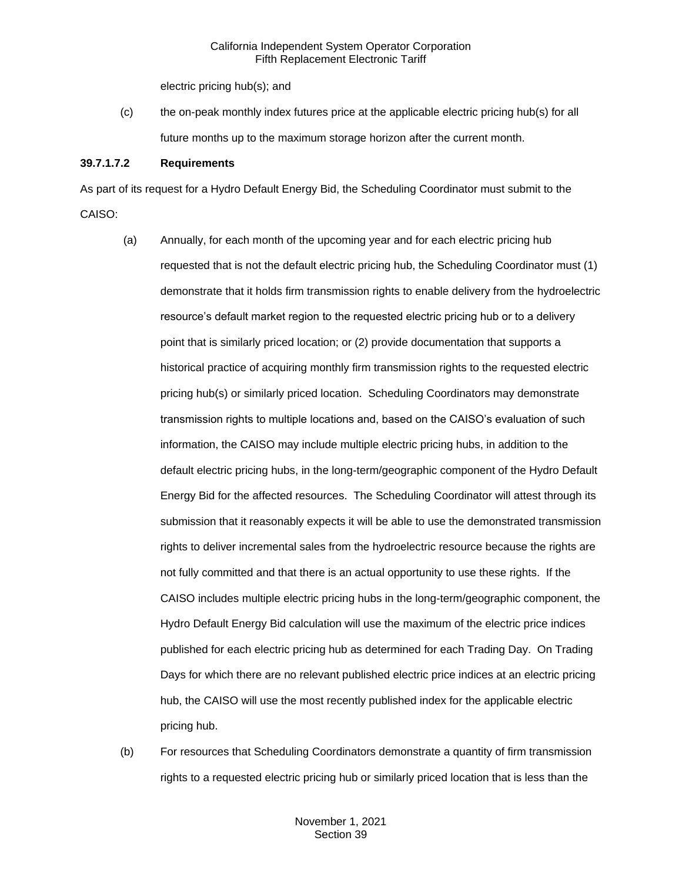electric pricing hub(s); and

(c) the on-peak monthly index futures price at the applicable electric pricing hub(s) for all future months up to the maximum storage horizon after the current month.

## **39.7.1.7.2 Requirements**

As part of its request for a Hydro Default Energy Bid, the Scheduling Coordinator must submit to the CAISO:

- (a) Annually, for each month of the upcoming year and for each electric pricing hub requested that is not the default electric pricing hub, the Scheduling Coordinator must (1) demonstrate that it holds firm transmission rights to enable delivery from the hydroelectric resource's default market region to the requested electric pricing hub or to a delivery point that is similarly priced location; or (2) provide documentation that supports a historical practice of acquiring monthly firm transmission rights to the requested electric pricing hub(s) or similarly priced location. Scheduling Coordinators may demonstrate transmission rights to multiple locations and, based on the CAISO's evaluation of such information, the CAISO may include multiple electric pricing hubs, in addition to the default electric pricing hubs, in the long-term/geographic component of the Hydro Default Energy Bid for the affected resources. The Scheduling Coordinator will attest through its submission that it reasonably expects it will be able to use the demonstrated transmission rights to deliver incremental sales from the hydroelectric resource because the rights are not fully committed and that there is an actual opportunity to use these rights. If the CAISO includes multiple electric pricing hubs in the long-term/geographic component, the Hydro Default Energy Bid calculation will use the maximum of the electric price indices published for each electric pricing hub as determined for each Trading Day. On Trading Days for which there are no relevant published electric price indices at an electric pricing hub, the CAISO will use the most recently published index for the applicable electric pricing hub.
- (b) For resources that Scheduling Coordinators demonstrate a quantity of firm transmission rights to a requested electric pricing hub or similarly priced location that is less than the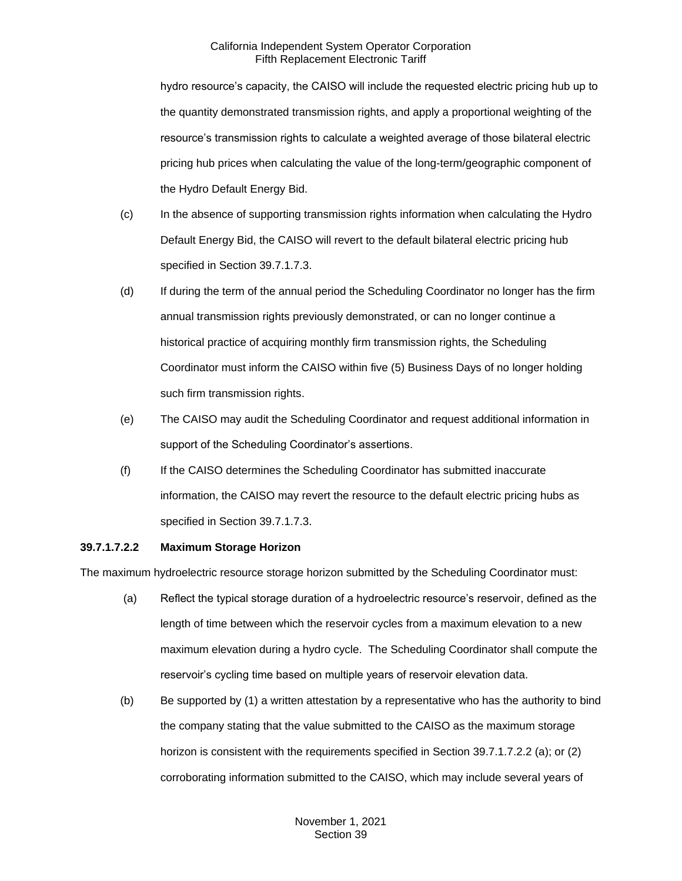hydro resource's capacity, the CAISO will include the requested electric pricing hub up to the quantity demonstrated transmission rights, and apply a proportional weighting of the resource's transmission rights to calculate a weighted average of those bilateral electric pricing hub prices when calculating the value of the long-term/geographic component of the Hydro Default Energy Bid.

- (c) In the absence of supporting transmission rights information when calculating the Hydro Default Energy Bid, the CAISO will revert to the default bilateral electric pricing hub specified in Section 39.7.1.7.3.
- (d) If during the term of the annual period the Scheduling Coordinator no longer has the firm annual transmission rights previously demonstrated, or can no longer continue a historical practice of acquiring monthly firm transmission rights, the Scheduling Coordinator must inform the CAISO within five (5) Business Days of no longer holding such firm transmission rights.
- (e) The CAISO may audit the Scheduling Coordinator and request additional information in support of the Scheduling Coordinator's assertions.
- (f) If the CAISO determines the Scheduling Coordinator has submitted inaccurate information, the CAISO may revert the resource to the default electric pricing hubs as specified in Section 39.7.1.7.3.

## **39.7.1.7.2.2 Maximum Storage Horizon**

The maximum hydroelectric resource storage horizon submitted by the Scheduling Coordinator must:

- (a) Reflect the typical storage duration of a hydroelectric resource's reservoir, defined as the length of time between which the reservoir cycles from a maximum elevation to a new maximum elevation during a hydro cycle. The Scheduling Coordinator shall compute the reservoir's cycling time based on multiple years of reservoir elevation data.
- (b) Be supported by (1) a written attestation by a representative who has the authority to bind the company stating that the value submitted to the CAISO as the maximum storage horizon is consistent with the requirements specified in Section 39.7.1.7.2.2 (a); or (2) corroborating information submitted to the CAISO, which may include several years of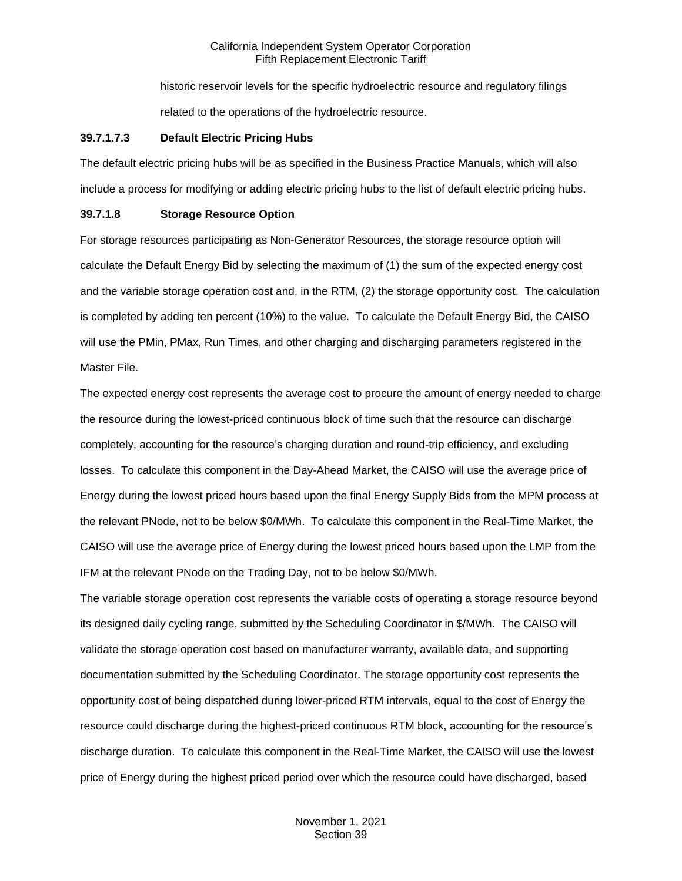historic reservoir levels for the specific hydroelectric resource and regulatory filings related to the operations of the hydroelectric resource.

## **39.7.1.7.3 Default Electric Pricing Hubs**

The default electric pricing hubs will be as specified in the Business Practice Manuals, which will also include a process for modifying or adding electric pricing hubs to the list of default electric pricing hubs.

## **39.7.1.8 Storage Resource Option**

For storage resources participating as Non-Generator Resources, the storage resource option will calculate the Default Energy Bid by selecting the maximum of (1) the sum of the expected energy cost and the variable storage operation cost and, in the RTM, (2) the storage opportunity cost. The calculation is completed by adding ten percent (10%) to the value. To calculate the Default Energy Bid, the CAISO will use the PMin, PMax, Run Times, and other charging and discharging parameters registered in the Master File.

The expected energy cost represents the average cost to procure the amount of energy needed to charge the resource during the lowest-priced continuous block of time such that the resource can discharge completely, accounting for the resource's charging duration and round-trip efficiency, and excluding losses. To calculate this component in the Day-Ahead Market, the CAISO will use the average price of Energy during the lowest priced hours based upon the final Energy Supply Bids from the MPM process at the relevant PNode, not to be below \$0/MWh. To calculate this component in the Real-Time Market, the CAISO will use the average price of Energy during the lowest priced hours based upon the LMP from the IFM at the relevant PNode on the Trading Day, not to be below \$0/MWh.

The variable storage operation cost represents the variable costs of operating a storage resource beyond its designed daily cycling range, submitted by the Scheduling Coordinator in \$/MWh. The CAISO will validate the storage operation cost based on manufacturer warranty, available data, and supporting documentation submitted by the Scheduling Coordinator. The storage opportunity cost represents the opportunity cost of being dispatched during lower-priced RTM intervals, equal to the cost of Energy the resource could discharge during the highest-priced continuous RTM block, accounting for the resource's discharge duration. To calculate this component in the Real-Time Market, the CAISO will use the lowest price of Energy during the highest priced period over which the resource could have discharged, based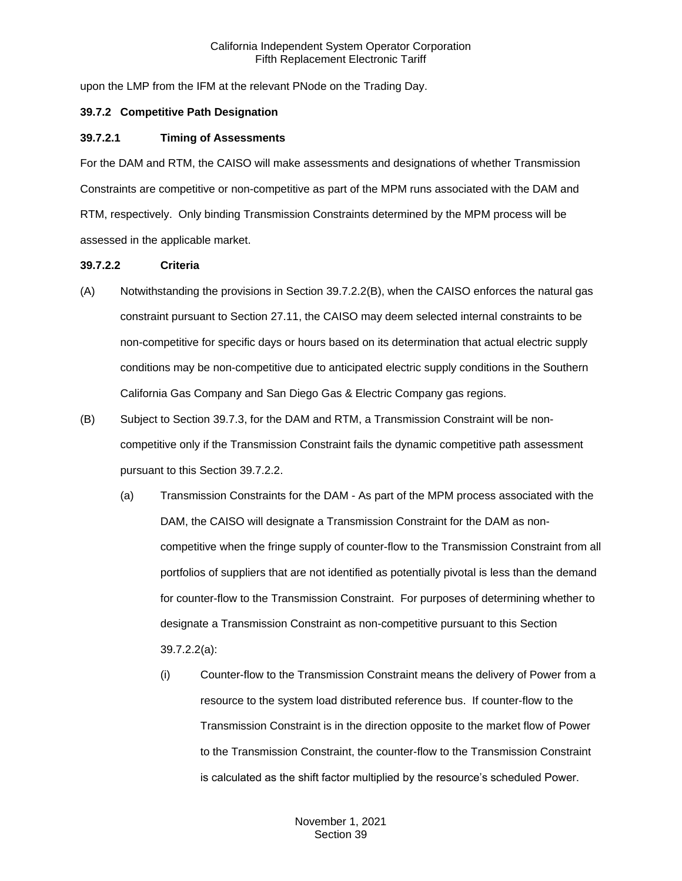upon the LMP from the IFM at the relevant PNode on the Trading Day.

## <span id="page-20-0"></span>**39.7.2 Competitive Path Designation**

## **39.7.2.1 Timing of Assessments**

For the DAM and RTM, the CAISO will make assessments and designations of whether Transmission Constraints are competitive or non-competitive as part of the MPM runs associated with the DAM and RTM, respectively. Only binding Transmission Constraints determined by the MPM process will be assessed in the applicable market.

## **39.7.2.2 Criteria**

- (A) Notwithstanding the provisions in Section 39.7.2.2(B), when the CAISO enforces the natural gas constraint pursuant to Section 27.11, the CAISO may deem selected internal constraints to be non-competitive for specific days or hours based on its determination that actual electric supply conditions may be non-competitive due to anticipated electric supply conditions in the Southern California Gas Company and San Diego Gas & Electric Company gas regions.
- (B) Subject to Section 39.7.3, for the DAM and RTM, a Transmission Constraint will be noncompetitive only if the Transmission Constraint fails the dynamic competitive path assessment pursuant to this Section 39.7.2.2.
	- (a) Transmission Constraints for the DAM As part of the MPM process associated with the DAM, the CAISO will designate a Transmission Constraint for the DAM as noncompetitive when the fringe supply of counter-flow to the Transmission Constraint from all portfolios of suppliers that are not identified as potentially pivotal is less than the demand for counter-flow to the Transmission Constraint. For purposes of determining whether to designate a Transmission Constraint as non-competitive pursuant to this Section 39.7.2.2(a):
		- (i) Counter-flow to the Transmission Constraint means the delivery of Power from a resource to the system load distributed reference bus. If counter-flow to the Transmission Constraint is in the direction opposite to the market flow of Power to the Transmission Constraint, the counter-flow to the Transmission Constraint is calculated as the shift factor multiplied by the resource's scheduled Power.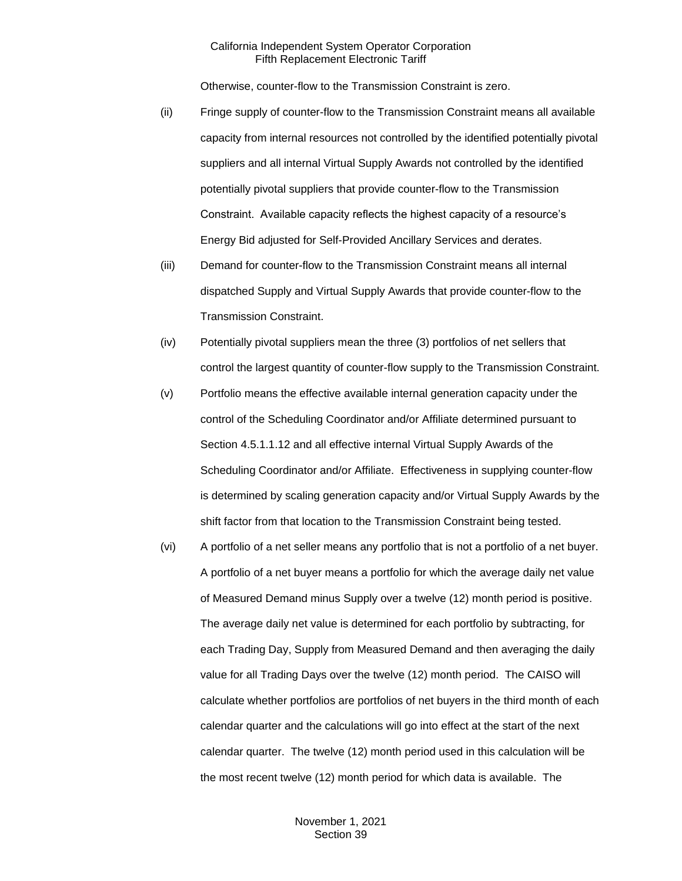Otherwise, counter-flow to the Transmission Constraint is zero.

- (ii) Fringe supply of counter-flow to the Transmission Constraint means all available capacity from internal resources not controlled by the identified potentially pivotal suppliers and all internal Virtual Supply Awards not controlled by the identified potentially pivotal suppliers that provide counter-flow to the Transmission Constraint. Available capacity reflects the highest capacity of a resource's Energy Bid adjusted for Self-Provided Ancillary Services and derates.
- (iii) Demand for counter-flow to the Transmission Constraint means all internal dispatched Supply and Virtual Supply Awards that provide counter-flow to the Transmission Constraint.
- (iv) Potentially pivotal suppliers mean the three (3) portfolios of net sellers that control the largest quantity of counter-flow supply to the Transmission Constraint.
- (v) Portfolio means the effective available internal generation capacity under the control of the Scheduling Coordinator and/or Affiliate determined pursuant to Section 4.5.1.1.12 and all effective internal Virtual Supply Awards of the Scheduling Coordinator and/or Affiliate. Effectiveness in supplying counter-flow is determined by scaling generation capacity and/or Virtual Supply Awards by the shift factor from that location to the Transmission Constraint being tested.
- (vi) A portfolio of a net seller means any portfolio that is not a portfolio of a net buyer. A portfolio of a net buyer means a portfolio for which the average daily net value of Measured Demand minus Supply over a twelve (12) month period is positive. The average daily net value is determined for each portfolio by subtracting, for each Trading Day, Supply from Measured Demand and then averaging the daily value for all Trading Days over the twelve (12) month period. The CAISO will calculate whether portfolios are portfolios of net buyers in the third month of each calendar quarter and the calculations will go into effect at the start of the next calendar quarter. The twelve (12) month period used in this calculation will be the most recent twelve (12) month period for which data is available. The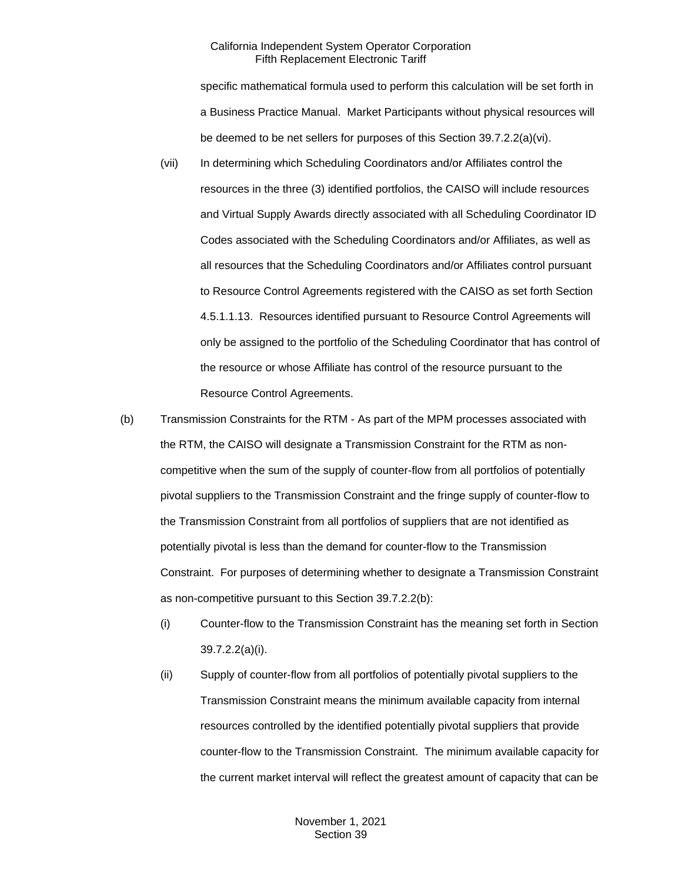specific mathematical formula used to perform this calculation will be set forth in a Business Practice Manual. Market Participants without physical resources will be deemed to be net sellers for purposes of this Section 39.7.2.2(a)(vi).

- (vii) In determining which Scheduling Coordinators and/or Affiliates control the resources in the three (3) identified portfolios, the CAISO will include resources and Virtual Supply Awards directly associated with all Scheduling Coordinator ID Codes associated with the Scheduling Coordinators and/or Affiliates, as well as all resources that the Scheduling Coordinators and/or Affiliates control pursuant to Resource Control Agreements registered with the CAISO as set forth Section 4.5.1.1.13. Resources identified pursuant to Resource Control Agreements will only be assigned to the portfolio of the Scheduling Coordinator that has control of the resource or whose Affiliate has control of the resource pursuant to the Resource Control Agreements.
- (b) Transmission Constraints for the RTM As part of the MPM processes associated with the RTM, the CAISO will designate a Transmission Constraint for the RTM as noncompetitive when the sum of the supply of counter-flow from all portfolios of potentially pivotal suppliers to the Transmission Constraint and the fringe supply of counter-flow to the Transmission Constraint from all portfolios of suppliers that are not identified as potentially pivotal is less than the demand for counter-flow to the Transmission Constraint. For purposes of determining whether to designate a Transmission Constraint as non-competitive pursuant to this Section 39.7.2.2(b):
	- (i) Counter-flow to the Transmission Constraint has the meaning set forth in Section 39.7.2.2(a)(i).
	- (ii) Supply of counter-flow from all portfolios of potentially pivotal suppliers to the Transmission Constraint means the minimum available capacity from internal resources controlled by the identified potentially pivotal suppliers that provide counter-flow to the Transmission Constraint. The minimum available capacity for the current market interval will reflect the greatest amount of capacity that can be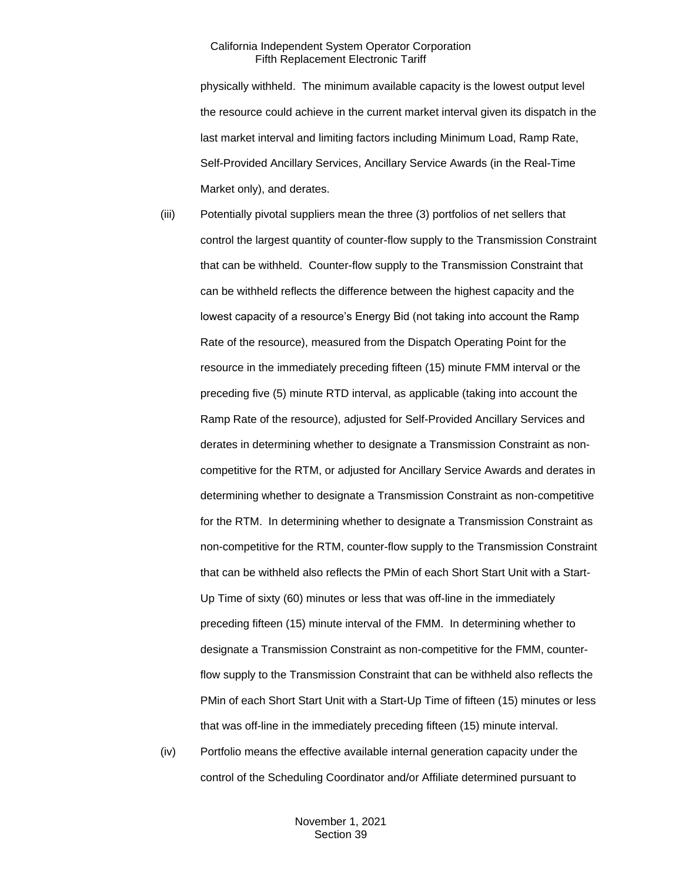physically withheld. The minimum available capacity is the lowest output level the resource could achieve in the current market interval given its dispatch in the last market interval and limiting factors including Minimum Load, Ramp Rate, Self-Provided Ancillary Services, Ancillary Service Awards (in the Real-Time Market only), and derates.

- (iii) Potentially pivotal suppliers mean the three (3) portfolios of net sellers that control the largest quantity of counter-flow supply to the Transmission Constraint that can be withheld. Counter-flow supply to the Transmission Constraint that can be withheld reflects the difference between the highest capacity and the lowest capacity of a resource's Energy Bid (not taking into account the Ramp Rate of the resource), measured from the Dispatch Operating Point for the resource in the immediately preceding fifteen (15) minute FMM interval or the preceding five (5) minute RTD interval, as applicable (taking into account the Ramp Rate of the resource), adjusted for Self-Provided Ancillary Services and derates in determining whether to designate a Transmission Constraint as noncompetitive for the RTM, or adjusted for Ancillary Service Awards and derates in determining whether to designate a Transmission Constraint as non-competitive for the RTM. In determining whether to designate a Transmission Constraint as non-competitive for the RTM, counter-flow supply to the Transmission Constraint that can be withheld also reflects the PMin of each Short Start Unit with a Start-Up Time of sixty (60) minutes or less that was off-line in the immediately preceding fifteen (15) minute interval of the FMM. In determining whether to designate a Transmission Constraint as non-competitive for the FMM, counterflow supply to the Transmission Constraint that can be withheld also reflects the PMin of each Short Start Unit with a Start-Up Time of fifteen (15) minutes or less that was off-line in the immediately preceding fifteen (15) minute interval.
- (iv) Portfolio means the effective available internal generation capacity under the control of the Scheduling Coordinator and/or Affiliate determined pursuant to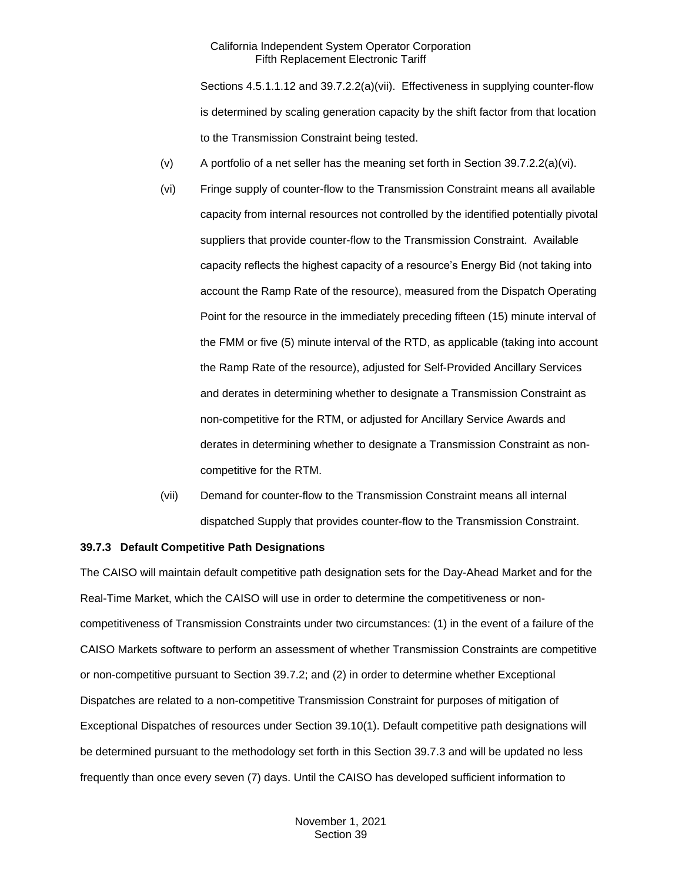Sections 4.5.1.1.12 and 39.7.2.2(a)(vii). Effectiveness in supplying counter-flow is determined by scaling generation capacity by the shift factor from that location to the Transmission Constraint being tested.

- (v) A portfolio of a net seller has the meaning set forth in Section 39.7.2.2(a)(vi).
- (vi) Fringe supply of counter-flow to the Transmission Constraint means all available capacity from internal resources not controlled by the identified potentially pivotal suppliers that provide counter-flow to the Transmission Constraint. Available capacity reflects the highest capacity of a resource's Energy Bid (not taking into account the Ramp Rate of the resource), measured from the Dispatch Operating Point for the resource in the immediately preceding fifteen (15) minute interval of the FMM or five (5) minute interval of the RTD, as applicable (taking into account the Ramp Rate of the resource), adjusted for Self-Provided Ancillary Services and derates in determining whether to designate a Transmission Constraint as non-competitive for the RTM, or adjusted for Ancillary Service Awards and derates in determining whether to designate a Transmission Constraint as noncompetitive for the RTM.
- (vii) Demand for counter-flow to the Transmission Constraint means all internal dispatched Supply that provides counter-flow to the Transmission Constraint.

#### <span id="page-24-0"></span>**39.7.3 Default Competitive Path Designations**

The CAISO will maintain default competitive path designation sets for the Day-Ahead Market and for the Real-Time Market, which the CAISO will use in order to determine the competitiveness or noncompetitiveness of Transmission Constraints under two circumstances: (1) in the event of a failure of the CAISO Markets software to perform an assessment of whether Transmission Constraints are competitive or non-competitive pursuant to Section 39.7.2; and (2) in order to determine whether Exceptional Dispatches are related to a non-competitive Transmission Constraint for purposes of mitigation of Exceptional Dispatches of resources under Section 39.10(1). Default competitive path designations will be determined pursuant to the methodology set forth in this Section 39.7.3 and will be updated no less frequently than once every seven (7) days. Until the CAISO has developed sufficient information to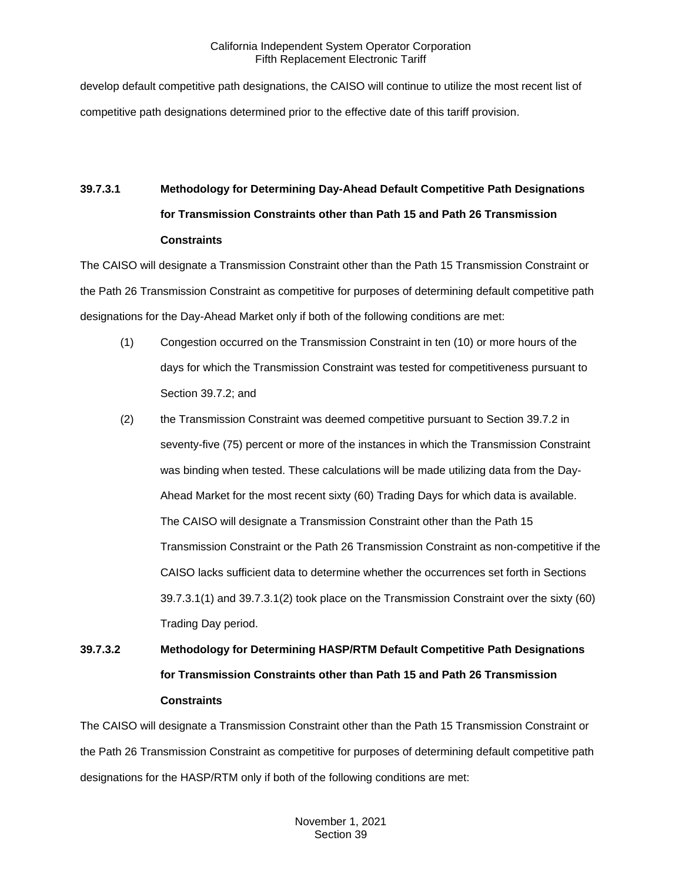develop default competitive path designations, the CAISO will continue to utilize the most recent list of competitive path designations determined prior to the effective date of this tariff provision.

# **39.7.3.1 Methodology for Determining Day-Ahead Default Competitive Path Designations for Transmission Constraints other than Path 15 and Path 26 Transmission Constraints**

The CAISO will designate a Transmission Constraint other than the Path 15 Transmission Constraint or the Path 26 Transmission Constraint as competitive for purposes of determining default competitive path designations for the Day-Ahead Market only if both of the following conditions are met:

- (1) Congestion occurred on the Transmission Constraint in ten (10) or more hours of the days for which the Transmission Constraint was tested for competitiveness pursuant to Section 39.7.2; and
- (2) the Transmission Constraint was deemed competitive pursuant to Section 39.7.2 in seventy-five (75) percent or more of the instances in which the Transmission Constraint was binding when tested. These calculations will be made utilizing data from the Day-Ahead Market for the most recent sixty (60) Trading Days for which data is available. The CAISO will designate a Transmission Constraint other than the Path 15 Transmission Constraint or the Path 26 Transmission Constraint as non-competitive if the CAISO lacks sufficient data to determine whether the occurrences set forth in Sections 39.7.3.1(1) and 39.7.3.1(2) took place on the Transmission Constraint over the sixty (60) Trading Day period.

# **39.7.3.2 Methodology for Determining HASP/RTM Default Competitive Path Designations for Transmission Constraints other than Path 15 and Path 26 Transmission Constraints**

The CAISO will designate a Transmission Constraint other than the Path 15 Transmission Constraint or the Path 26 Transmission Constraint as competitive for purposes of determining default competitive path designations for the HASP/RTM only if both of the following conditions are met: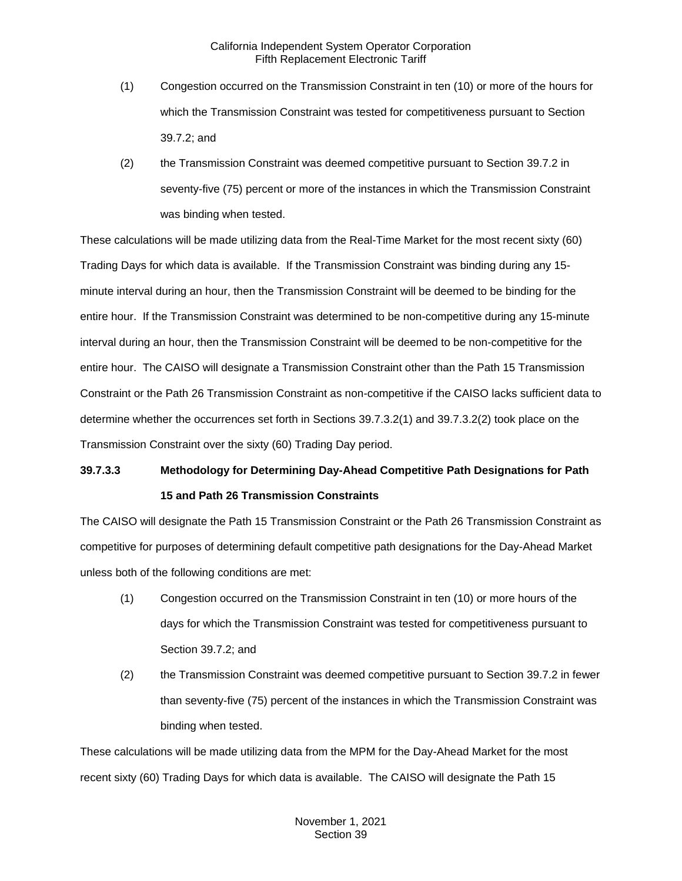- (1) Congestion occurred on the Transmission Constraint in ten (10) or more of the hours for which the Transmission Constraint was tested for competitiveness pursuant to Section 39.7.2; and
- (2) the Transmission Constraint was deemed competitive pursuant to Section 39.7.2 in seventy-five (75) percent or more of the instances in which the Transmission Constraint was binding when tested.

These calculations will be made utilizing data from the Real-Time Market for the most recent sixty (60) Trading Days for which data is available. If the Transmission Constraint was binding during any 15 minute interval during an hour, then the Transmission Constraint will be deemed to be binding for the entire hour. If the Transmission Constraint was determined to be non-competitive during any 15-minute interval during an hour, then the Transmission Constraint will be deemed to be non-competitive for the entire hour. The CAISO will designate a Transmission Constraint other than the Path 15 Transmission Constraint or the Path 26 Transmission Constraint as non-competitive if the CAISO lacks sufficient data to determine whether the occurrences set forth in Sections 39.7.3.2(1) and 39.7.3.2(2) took place on the Transmission Constraint over the sixty (60) Trading Day period.

# **39.7.3.3 Methodology for Determining Day-Ahead Competitive Path Designations for Path 15 and Path 26 Transmission Constraints**

The CAISO will designate the Path 15 Transmission Constraint or the Path 26 Transmission Constraint as competitive for purposes of determining default competitive path designations for the Day-Ahead Market unless both of the following conditions are met:

- (1) Congestion occurred on the Transmission Constraint in ten (10) or more hours of the days for which the Transmission Constraint was tested for competitiveness pursuant to Section 39.7.2; and
- (2) the Transmission Constraint was deemed competitive pursuant to Section 39.7.2 in fewer than seventy-five (75) percent of the instances in which the Transmission Constraint was binding when tested.

These calculations will be made utilizing data from the MPM for the Day-Ahead Market for the most recent sixty (60) Trading Days for which data is available. The CAISO will designate the Path 15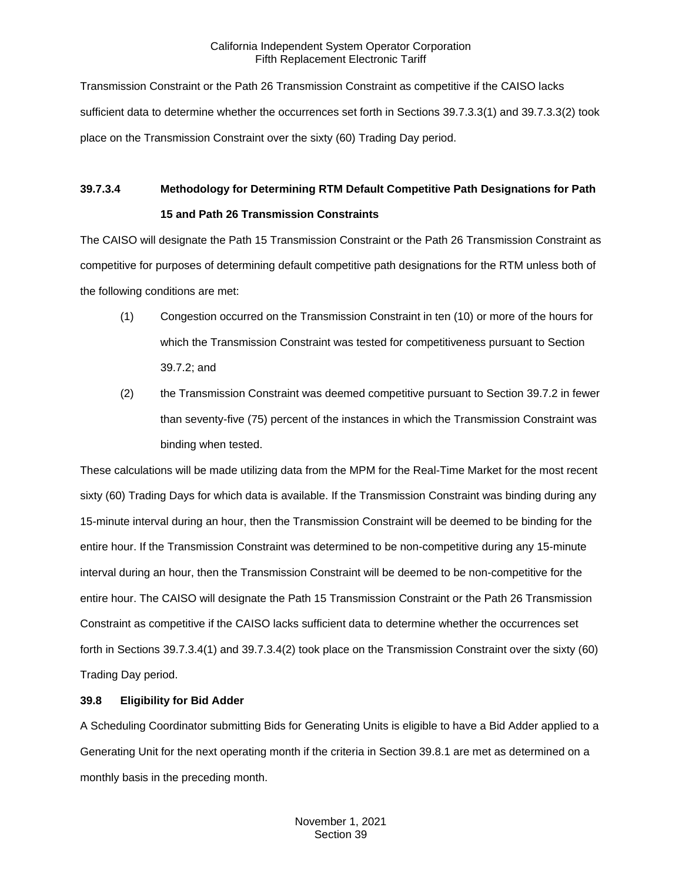Transmission Constraint or the Path 26 Transmission Constraint as competitive if the CAISO lacks sufficient data to determine whether the occurrences set forth in Sections 39.7.3.3(1) and 39.7.3.3(2) took place on the Transmission Constraint over the sixty (60) Trading Day period.

# **39.7.3.4 Methodology for Determining RTM Default Competitive Path Designations for Path 15 and Path 26 Transmission Constraints**

The CAISO will designate the Path 15 Transmission Constraint or the Path 26 Transmission Constraint as competitive for purposes of determining default competitive path designations for the RTM unless both of the following conditions are met:

- (1) Congestion occurred on the Transmission Constraint in ten (10) or more of the hours for which the Transmission Constraint was tested for competitiveness pursuant to Section 39.7.2; and
- (2) the Transmission Constraint was deemed competitive pursuant to Section 39.7.2 in fewer than seventy-five (75) percent of the instances in which the Transmission Constraint was binding when tested.

These calculations will be made utilizing data from the MPM for the Real-Time Market for the most recent sixty (60) Trading Days for which data is available. If the Transmission Constraint was binding during any 15-minute interval during an hour, then the Transmission Constraint will be deemed to be binding for the entire hour. If the Transmission Constraint was determined to be non-competitive during any 15-minute interval during an hour, then the Transmission Constraint will be deemed to be non-competitive for the entire hour. The CAISO will designate the Path 15 Transmission Constraint or the Path 26 Transmission Constraint as competitive if the CAISO lacks sufficient data to determine whether the occurrences set forth in Sections 39.7.3.4(1) and 39.7.3.4(2) took place on the Transmission Constraint over the sixty (60) Trading Day period.

# <span id="page-27-0"></span>**39.8 Eligibility for Bid Adder**

A Scheduling Coordinator submitting Bids for Generating Units is eligible to have a Bid Adder applied to a Generating Unit for the next operating month if the criteria in Section 39.8.1 are met as determined on a monthly basis in the preceding month.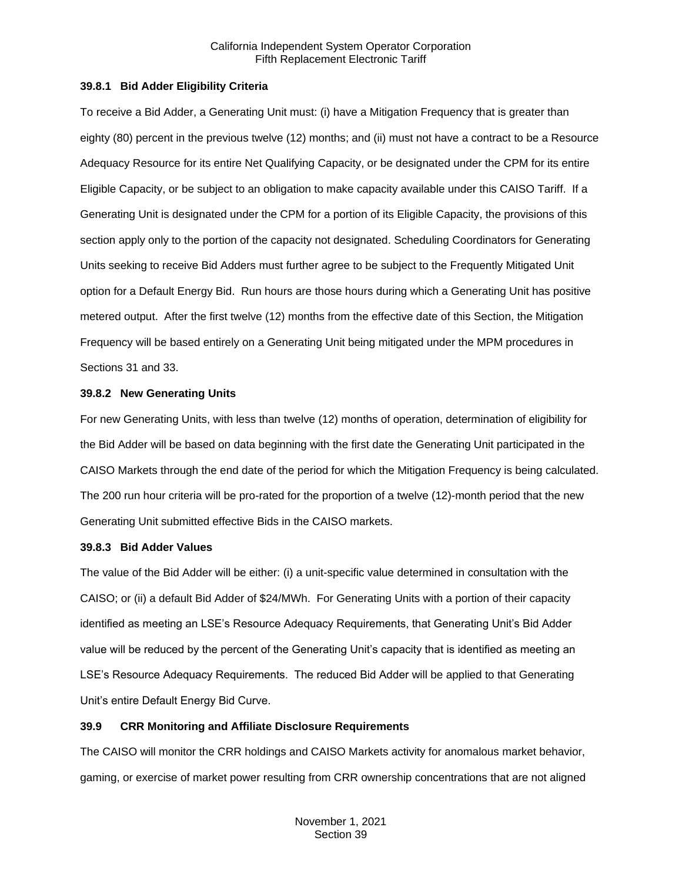## <span id="page-28-0"></span>**39.8.1 Bid Adder Eligibility Criteria**

To receive a Bid Adder, a Generating Unit must: (i) have a Mitigation Frequency that is greater than eighty (80) percent in the previous twelve (12) months; and (ii) must not have a contract to be a Resource Adequacy Resource for its entire Net Qualifying Capacity, or be designated under the CPM for its entire Eligible Capacity, or be subject to an obligation to make capacity available under this CAISO Tariff. If a Generating Unit is designated under the CPM for a portion of its Eligible Capacity, the provisions of this section apply only to the portion of the capacity not designated. Scheduling Coordinators for Generating Units seeking to receive Bid Adders must further agree to be subject to the Frequently Mitigated Unit option for a Default Energy Bid. Run hours are those hours during which a Generating Unit has positive metered output. After the first twelve (12) months from the effective date of this Section, the Mitigation Frequency will be based entirely on a Generating Unit being mitigated under the MPM procedures in Sections 31 and 33.

### <span id="page-28-1"></span>**39.8.2 New Generating Units**

For new Generating Units, with less than twelve (12) months of operation, determination of eligibility for the Bid Adder will be based on data beginning with the first date the Generating Unit participated in the CAISO Markets through the end date of the period for which the Mitigation Frequency is being calculated. The 200 run hour criteria will be pro-rated for the proportion of a twelve (12)-month period that the new Generating Unit submitted effective Bids in the CAISO markets.

#### <span id="page-28-2"></span>**39.8.3 Bid Adder Values**

The value of the Bid Adder will be either: (i) a unit-specific value determined in consultation with the CAISO; or (ii) a default Bid Adder of \$24/MWh. For Generating Units with a portion of their capacity identified as meeting an LSE's Resource Adequacy Requirements, that Generating Unit's Bid Adder value will be reduced by the percent of the Generating Unit's capacity that is identified as meeting an LSE's Resource Adequacy Requirements. The reduced Bid Adder will be applied to that Generating Unit's entire Default Energy Bid Curve.

## <span id="page-28-3"></span>**39.9 CRR Monitoring and Affiliate Disclosure Requirements**

The CAISO will monitor the CRR holdings and CAISO Markets activity for anomalous market behavior, gaming, or exercise of market power resulting from CRR ownership concentrations that are not aligned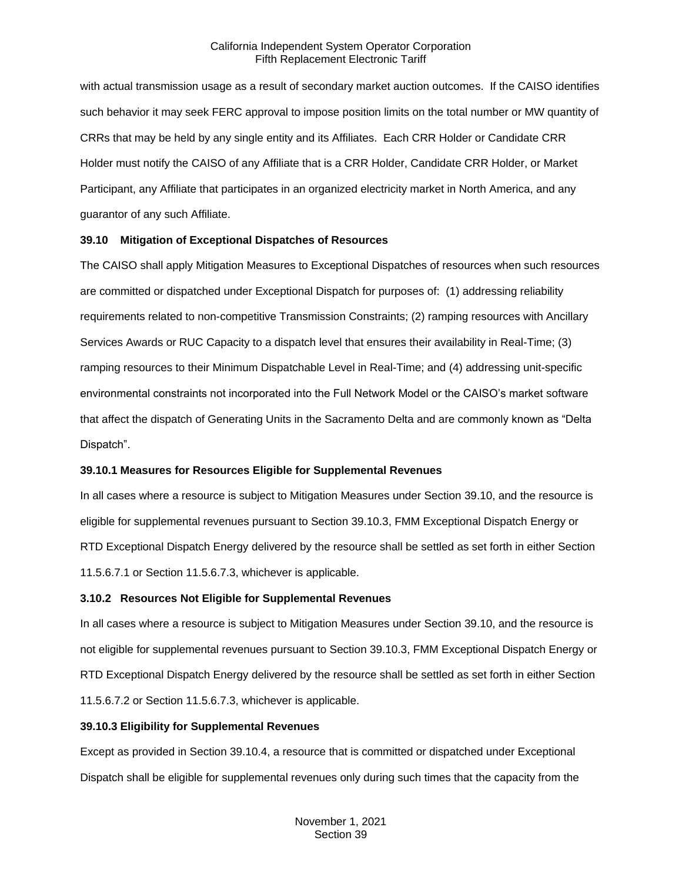with actual transmission usage as a result of secondary market auction outcomes. If the CAISO identifies such behavior it may seek FERC approval to impose position limits on the total number or MW quantity of CRRs that may be held by any single entity and its Affiliates. Each CRR Holder or Candidate CRR Holder must notify the CAISO of any Affiliate that is a CRR Holder, Candidate CRR Holder, or Market Participant, any Affiliate that participates in an organized electricity market in North America, and any guarantor of any such Affiliate.

### <span id="page-29-0"></span>**39.10 Mitigation of Exceptional Dispatches of Resources**

The CAISO shall apply Mitigation Measures to Exceptional Dispatches of resources when such resources are committed or dispatched under Exceptional Dispatch for purposes of: (1) addressing reliability requirements related to non-competitive Transmission Constraints; (2) ramping resources with Ancillary Services Awards or RUC Capacity to a dispatch level that ensures their availability in Real-Time; (3) ramping resources to their Minimum Dispatchable Level in Real-Time; and (4) addressing unit-specific environmental constraints not incorporated into the Full Network Model or the CAISO's market software that affect the dispatch of Generating Units in the Sacramento Delta and are commonly known as "Delta Dispatch".

#### <span id="page-29-1"></span>**39.10.1 Measures for Resources Eligible for Supplemental Revenues**

In all cases where a resource is subject to Mitigation Measures under Section 39.10, and the resource is eligible for supplemental revenues pursuant to Section 39.10.3, FMM Exceptional Dispatch Energy or RTD Exceptional Dispatch Energy delivered by the resource shall be settled as set forth in either Section 11.5.6.7.1 or Section 11.5.6.7.3, whichever is applicable.

#### <span id="page-29-2"></span>**3.10.2 Resources Not Eligible for Supplemental Revenues**

In all cases where a resource is subject to Mitigation Measures under Section 39.10, and the resource is not eligible for supplemental revenues pursuant to Section 39.10.3, FMM Exceptional Dispatch Energy or RTD Exceptional Dispatch Energy delivered by the resource shall be settled as set forth in either Section 11.5.6.7.2 or Section 11.5.6.7.3, whichever is applicable.

#### <span id="page-29-3"></span>**39.10.3 Eligibility for Supplemental Revenues**

Except as provided in Section 39.10.4, a resource that is committed or dispatched under Exceptional Dispatch shall be eligible for supplemental revenues only during such times that the capacity from the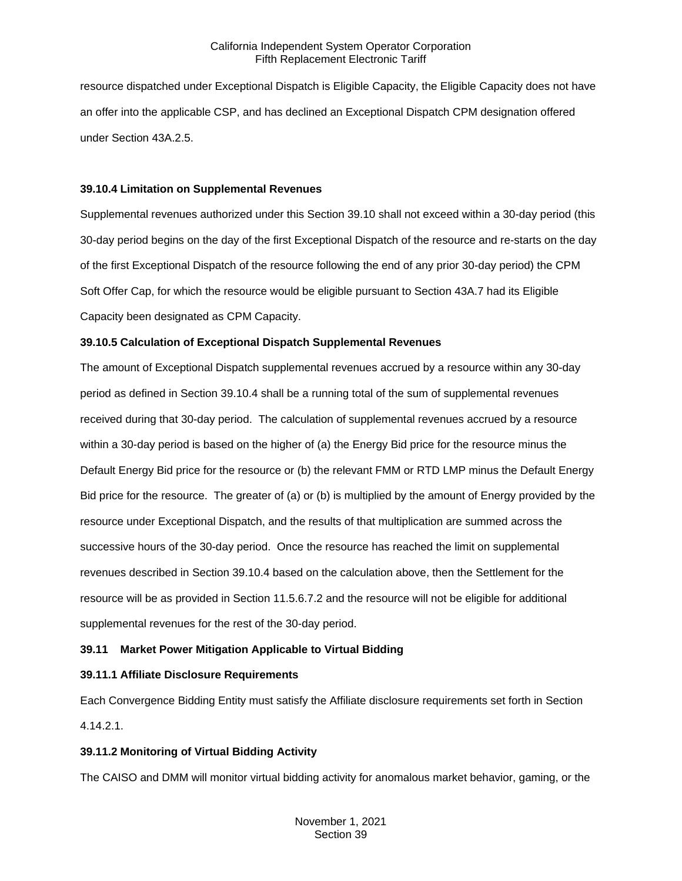resource dispatched under Exceptional Dispatch is Eligible Capacity, the Eligible Capacity does not have an offer into the applicable CSP, and has declined an Exceptional Dispatch CPM designation offered under Section 43A.2.5.

### <span id="page-30-0"></span>**39.10.4 Limitation on Supplemental Revenues**

Supplemental revenues authorized under this Section 39.10 shall not exceed within a 30-day period (this 30-day period begins on the day of the first Exceptional Dispatch of the resource and re-starts on the day of the first Exceptional Dispatch of the resource following the end of any prior 30-day period) the CPM Soft Offer Cap, for which the resource would be eligible pursuant to Section 43A.7 had its Eligible Capacity been designated as CPM Capacity.

## <span id="page-30-1"></span>**39.10.5 Calculation of Exceptional Dispatch Supplemental Revenues**

The amount of Exceptional Dispatch supplemental revenues accrued by a resource within any 30-day period as defined in Section 39.10.4 shall be a running total of the sum of supplemental revenues received during that 30-day period. The calculation of supplemental revenues accrued by a resource within a 30-day period is based on the higher of (a) the Energy Bid price for the resource minus the Default Energy Bid price for the resource or (b) the relevant FMM or RTD LMP minus the Default Energy Bid price for the resource. The greater of (a) or (b) is multiplied by the amount of Energy provided by the resource under Exceptional Dispatch, and the results of that multiplication are summed across the successive hours of the 30-day period. Once the resource has reached the limit on supplemental revenues described in Section 39.10.4 based on the calculation above, then the Settlement for the resource will be as provided in Section 11.5.6.7.2 and the resource will not be eligible for additional supplemental revenues for the rest of the 30-day period.

# <span id="page-30-2"></span>**39.11 Market Power Mitigation Applicable to Virtual Bidding**

## <span id="page-30-3"></span>**39.11.1 Affiliate Disclosure Requirements**

Each Convergence Bidding Entity must satisfy the Affiliate disclosure requirements set forth in Section 4.14.2.1.

# <span id="page-30-4"></span>**39.11.2 Monitoring of Virtual Bidding Activity**

The CAISO and DMM will monitor virtual bidding activity for anomalous market behavior, gaming, or the